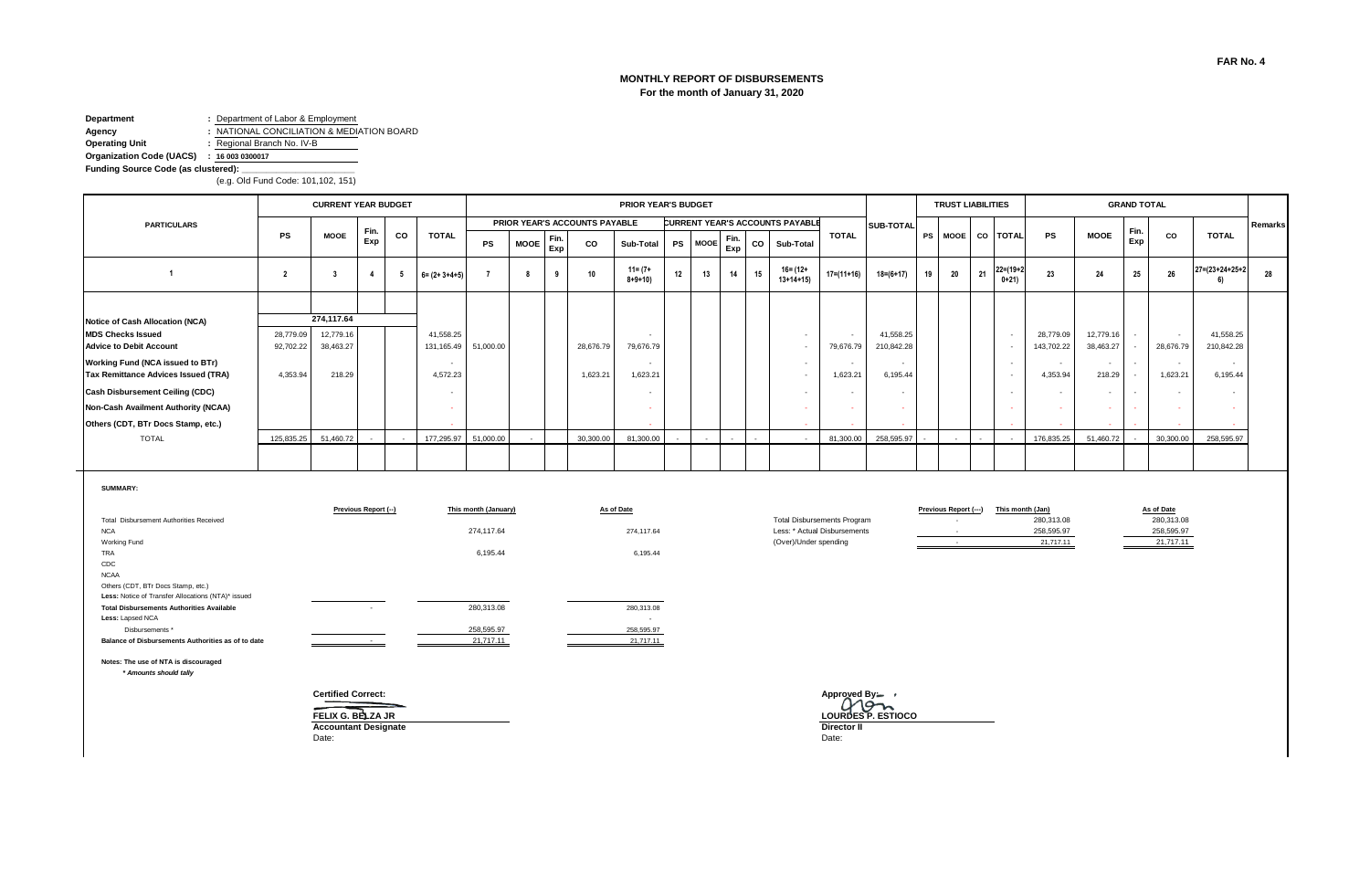# **MONTHLY REPORT OF DISBURSEMENTS For the month of January 31, 2020**

#### **Department :** Department of Labor & Employment **Agency :** NATIONAL CONCILIATION & MEDIATION BOARD

**Operating Unit :** Regional Branch No. IV-B

**Organization Code (UACS) : 16 003 0300017**

**Funding Source Code (as clustered): \_\_\_\_\_\_\_\_\_\_\_\_\_\_\_\_\_\_\_\_\_\_\_**

(e.g. Old Fund Code: 101,102, 151)

|                                        |           | <b>CURRENT YEAR BUDGET</b> |      |        |                       |                      |             |             |                               | <b>PRIOR YEAR'S BUDGET</b>  |    |                |             |    |                                        |                  |                  |                          | <b>TRUST LIABILITIES</b> |                          |                           |            |                          | <b>GRAND TOTAL</b> |           |                |         |
|----------------------------------------|-----------|----------------------------|------|--------|-----------------------|----------------------|-------------|-------------|-------------------------------|-----------------------------|----|----------------|-------------|----|----------------------------------------|------------------|------------------|--------------------------|--------------------------|--------------------------|---------------------------|------------|--------------------------|--------------------|-----------|----------------|---------|
| <b>PARTICULARS</b>                     |           |                            | Fin. |        |                       |                      |             |             | PRIOR YEAR'S ACCOUNTS PAYABLE |                             |    |                |             |    | <b>CURRENT YEAR'S ACCOUNTS PAYABLE</b> |                  | <b>SUB-TOTAL</b> |                          |                          |                          |                           |            |                          | Fin.               |           |                | Remarks |
|                                        | <b>PS</b> | <b>MOOE</b>                | Exp  | CO     | <b>TOTAL</b>          | PS                   | <b>MOOE</b> | Fin.<br>Exp | <b>CO</b>                     | Sub-Total                   |    | PS MOOE        | Fin.<br>Exp |    | CO Sub-Total                           | <b>TOTAL</b>     |                  | <b>PS</b>                |                          |                          | MOOE CO TOTAL             | PS         | <b>MOOE</b>              | Exp                | CO        | <b>TOTAL</b>   |         |
|                                        |           |                            |      |        | $6 = (2 + 3 + 4 + 5)$ |                      | 8           |             |                               | $11 = (7 +$<br>$8 + 9 + 10$ | 12 | 13             | 14          | 15 | $16 = (12 +$<br>$13+14+15$             | $17 = (11 + 16)$ | $18 = (6 + 17)$  | 19                       | 20                       | 21                       | $22 = (19 + 2)$<br>$0+21$ | 23         | 24                       | 25                 | 26        | 27=(23+24+25+2 | 28      |
|                                        |           |                            |      |        |                       |                      |             |             |                               |                             |    |                |             |    |                                        |                  |                  |                          |                          |                          |                           |            |                          |                    |           |                |         |
| Notice of Cash Allocation (NCA)        |           | 274,117.64                 |      |        |                       |                      |             |             |                               |                             |    |                |             |    |                                        |                  |                  |                          |                          |                          |                           |            |                          |                    |           |                |         |
| <b>MDS Checks Issued</b>               | 28,779.09 | 12,779.16                  |      |        | 41,558.25             |                      |             |             |                               | $\sim$                      |    |                |             |    |                                        |                  | 41,558.25        |                          |                          |                          | $\sim$                    | 28,779.09  | 12,779.16                |                    | $\sim$    | 41,558.25      |         |
| <b>Advice to Debit Account</b>         | 92,702.22 | 38,463.27                  |      |        | 131, 165.49           | 51,000.00            |             |             | 28,676.79                     | 79,676.79                   |    |                |             |    |                                        | 79,676.79        | 210,842.28       |                          |                          |                          | $\sim$                    | 143,702.22 | 38,463.27                |                    | 28,676.79 | 210,842.28     |         |
| Working Fund (NCA issued to BTr)       |           |                            |      |        |                       |                      |             |             |                               | $\sim$                      |    |                |             |    |                                        |                  |                  |                          |                          |                          | $\sim$                    |            | $\overline{\phantom{a}}$ |                    | $\sim$    | $\sim$         |         |
| Tax Remittance Advices Issued (TRA)    | 4,353.94  | 218.29                     |      |        | 4,572.23              |                      |             |             | 1,623.21                      | 1,623.21                    |    |                |             |    |                                        | 1,623.21         | 6,195.44         |                          |                          |                          | $\sim$                    | 4,353.94   | 218.29                   |                    | 1,623.21  | 6,195.44       |         |
| <b>Cash Disbursement Ceiling (CDC)</b> |           |                            |      |        |                       |                      |             |             |                               |                             |    |                |             |    |                                        |                  |                  |                          |                          |                          | $\sim$                    |            | $\overline{\phantom{a}}$ |                    | $\sim$    |                |         |
| Non-Cash Availment Authority (NCAA)    |           |                            |      |        |                       |                      |             |             |                               |                             |    |                |             |    |                                        |                  |                  |                          |                          |                          | <b><i><u>ALCO</u></i></b> |            | $\sim$                   |                    |           |                |         |
| Others (CDT, BTr Docs Stamp, etc.)     |           |                            |      |        |                       |                      |             |             |                               |                             |    |                |             |    |                                        |                  |                  |                          |                          |                          |                           |            |                          |                    |           |                |         |
| <b>TOTAL</b>                           |           | 125,835.25 51,460.72       |      | $\sim$ |                       | 177,295.97 51,000.00 |             |             | 30,300.00                     | 81,300.00                   |    | $\overline{a}$ |             |    |                                        | 81,300.00        | 258,595.97       | $\overline{\phantom{a}}$ | $\sim$                   | $\overline{\phantom{a}}$ | $\sim$                    | 176,835.25 | 51,460.72                |                    | 30,300.00 | 258,595.97     |         |
|                                        |           |                            |      |        |                       |                      |             |             |                               |                             |    |                |             |    |                                        |                  |                  |                          |                          |                          |                           |            |                          |                    |           |                |         |

**SUMMARY:**

|                                                    | Previous Report (--)     | This month (January) | As of Date |                                    |
|----------------------------------------------------|--------------------------|----------------------|------------|------------------------------------|
| Total Disbursement Authorities Received            |                          |                      |            | <b>Total Disbursements Progran</b> |
| <b>NCA</b>                                         |                          | 274.117.64           | 274.117.64 | Less: * Actual Disbursements       |
| Working Fund                                       |                          |                      |            | (Over)/Under spending              |
| <b>TRA</b>                                         |                          | 6.195.44             | 6,195.44   |                                    |
| CDC                                                |                          |                      |            |                                    |
| <b>NCAA</b>                                        |                          |                      |            |                                    |
| Others (CDT, BTr Docs Stamp, etc.)                 |                          |                      |            |                                    |
| Less: Notice of Transfer Allocations (NTA)* issued |                          |                      |            |                                    |
| <b>Total Disbursements Authorities Available</b>   | $\overline{\phantom{a}}$ | 280.313.08           | 280,313,08 |                                    |
| Less: Lapsed NCA                                   |                          |                      | ٠          |                                    |
| Disbursements *                                    |                          | 258,595.97           | 258,595.97 |                                    |
| Balance of Disbursements Authorities as of to date |                          | 21,717.11            | 21,717.11  |                                    |

|                                    | Previous Report (---) | This month (Jan) | As of Date |
|------------------------------------|-----------------------|------------------|------------|
| <b>Total Disbursements Program</b> |                       | 280.313.08       | 280.313.08 |
| Less: * Actual Disbursements       | -                     | 258.595.97       | 258.595.97 |
| (Over)/Under spending              | -                     | 21.717.11        | 21.717.11  |
|                                    |                       |                  |            |

**Previous Report (---) This month (Jan) As of Date Previous Report (---) Previous Report (---) As of Date**  258,595.97 21,717.11

258,595.97<br>21,717.11

**Notes: The use of NTA is discouraged**  *\* Amounts should tally*

**Certified Correct: Approved By:**

**Accountant Designate Director II**<br>
Date: Date: Date:

Date: Date:

**FELIX G. BELZA JR LOURDES P. ESTIOCO**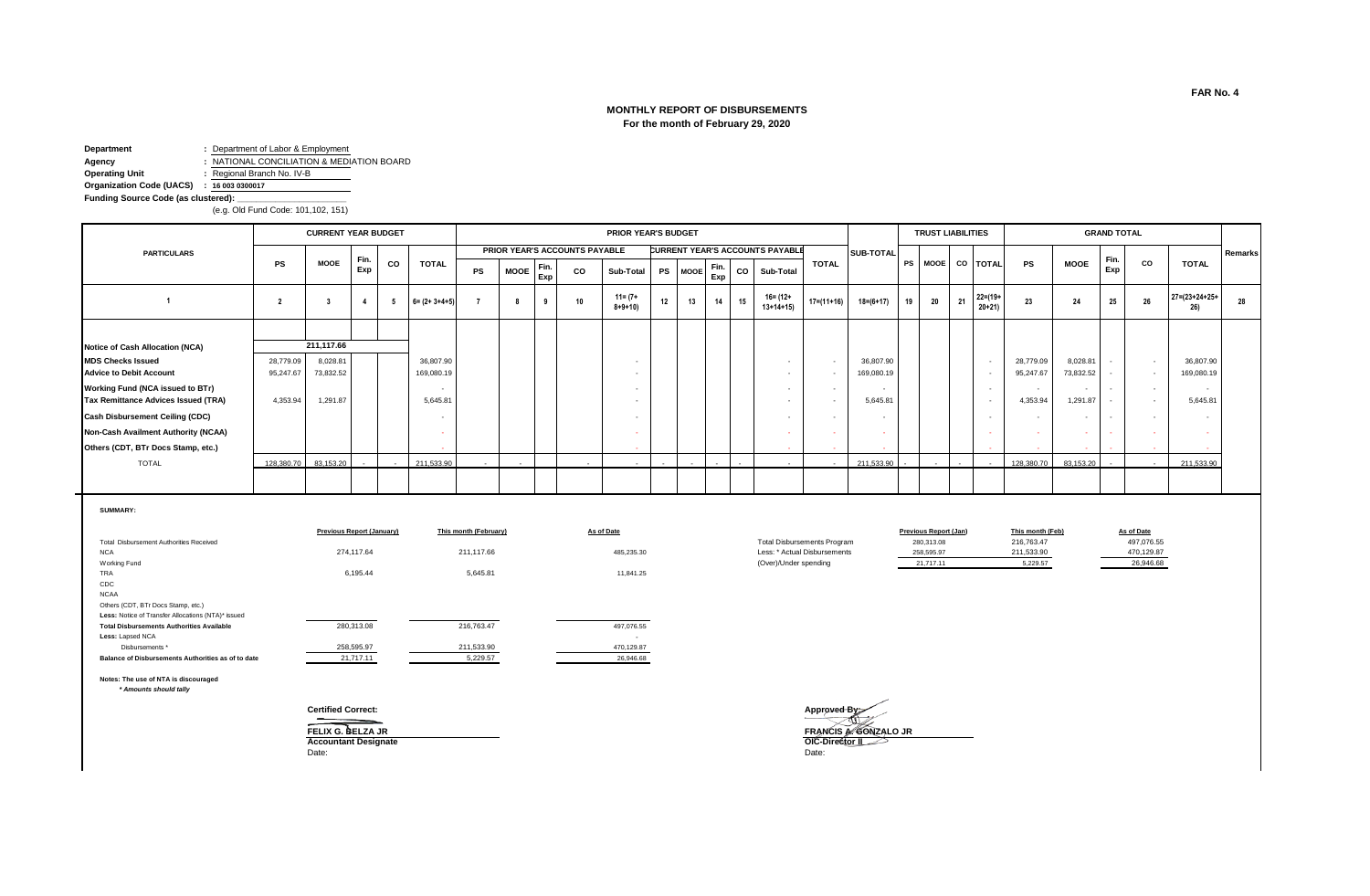# **MONTHLY REPORT OF DISBURSEMENTS For the month of February 29, 2020**

**Department :** Department of Labor & Employment

**Agency :** NATIONAL CONCILIATION & MEDIATION BOARD

**Operating Unit :** Regional Branch No. IV-B

**Organization Code (UACS) : 16 003 0300017**

**Funding Source Code (as clustered):** 

(e.g. Old Fund Code: 101,102, 151)

|                                        |            | <b>CURRENT YEAR BUDGET</b> |                          |                          |                       |    |             |             |                               | <b>PRIOR YEAR'S BUDGET</b>  |        |                          |             |    |                                        |        |                          |            |           | <b>TRUST LIABILITIES</b> |        |                          |            |                          | <b>GRAND TOTAL</b> |                          |                               |         |
|----------------------------------------|------------|----------------------------|--------------------------|--------------------------|-----------------------|----|-------------|-------------|-------------------------------|-----------------------------|--------|--------------------------|-------------|----|----------------------------------------|--------|--------------------------|------------|-----------|--------------------------|--------|--------------------------|------------|--------------------------|--------------------|--------------------------|-------------------------------|---------|
| <b>PARTICULARS</b>                     |            |                            |                          |                          |                       |    |             |             | PRIOR YEAR'S ACCOUNTS PAYABLE |                             |        |                          |             |    | <b>CURRENT YEAR'S ACCOUNTS PAYABLE</b> |        |                          | SUB-TOTAL  |           |                          |        |                          |            |                          |                    |                          |                               | Remarks |
|                                        | <b>PS</b>  | <b>MOOE</b>                | Fin.<br>Exp              | co                       | <b>TOTAL</b>          | PS | <b>MOOE</b> | Fin.<br>Exp | co                            | Sub-Total                   |        | PS MOOF                  | Fin.<br>Exp | co | Sub-Total                              |        | <b>TOTAL</b>             |            | <b>PS</b> | <b>MOOE</b>              |        | CO TOTAL                 | <b>PS</b>  | <b>MOOE</b>              | Fin.<br>Exp        | CO                       | <b>TOTAL</b>                  |         |
|                                        |            |                            | 4                        |                          | $6 = (2 + 3 + 4 + 5)$ |    |             |             | 10                            | $11 = (7 +$<br>$8 + 9 + 10$ | 12     | 13                       | 14          | 15 | 16= (12+<br>$13+14+15$                 |        | $17 = (11 + 16)$         | 18=(6+17)  | 19        | 20                       | 21     | $22 = (19 +$<br>$20+21$  | 23         | 24                       | 25                 | 26                       | $27 = (23 + 24 + 25 +$<br>26) | 28      |
|                                        |            |                            |                          |                          |                       |    |             |             |                               |                             |        |                          |             |    |                                        |        |                          |            |           |                          |        |                          |            |                          |                    |                          |                               |         |
| Notice of Cash Allocation (NCA)        |            | 211,117.66                 |                          |                          |                       |    |             |             |                               |                             |        |                          |             |    |                                        |        |                          |            |           |                          |        |                          |            |                          |                    |                          |                               |         |
| <b>MDS Checks Issued</b>               | 28,779.09  | 8,028.81                   |                          |                          | 36,807.90             |    |             |             |                               | $\sim$                      |        |                          |             |    |                                        |        |                          | 36,807.90  |           |                          |        | $\sim$                   | 28,779.09  | 8,028.81                 |                    | $\sim$                   | 36,807.90                     |         |
| <b>Advice to Debit Account</b>         | 95,247.67  | 73,832.52                  |                          |                          | 169,080.19            |    |             |             |                               | $\sim$                      |        |                          |             |    |                                        |        |                          | 169,080.19 |           |                          |        |                          | 95,247.67  | 73,832.52                |                    | $\sim$                   | 169,080.19                    |         |
| Working Fund (NCA issued to BTr)       |            |                            |                          |                          |                       |    |             |             |                               | $\sim$                      |        |                          |             |    |                                        | $\sim$ |                          |            |           |                          |        | $\sim$                   | $\sim$     | $\overline{\phantom{a}}$ |                    | $\overline{\phantom{a}}$ | $\overline{\phantom{a}}$      |         |
| Tax Remittance Advices Issued (TRA)    | 4,353.94   | 1,291.87                   |                          |                          | 5,645.81              |    |             |             |                               |                             |        |                          |             |    |                                        |        |                          | 5,645.81   |           |                          |        | $\overline{\phantom{a}}$ | 4,353.94   | 1,291.87                 |                    | $\overline{\phantom{a}}$ | 5,645.81                      |         |
| <b>Cash Disbursement Ceiling (CDC)</b> |            |                            |                          |                          |                       |    |             |             |                               |                             |        |                          |             |    |                                        |        |                          |            |           |                          |        |                          | $\sim$     | $\overline{\phantom{a}}$ |                    | $\overline{\phantom{a}}$ | $\overline{\phantom{a}}$      |         |
| Non-Cash Availment Authority (NCAA)    |            |                            |                          |                          |                       |    |             |             |                               |                             |        |                          |             |    |                                        |        |                          |            |           |                          |        |                          |            | ×.                       |                    |                          |                               |         |
| Others (CDT, BTr Docs Stamp, etc.)     |            |                            |                          |                          |                       |    |             |             |                               | <b>College</b>              |        |                          |             |    |                                        | $\sim$ |                          |            |           |                          |        |                          |            |                          |                    | $\sim$                   | $\sim$                        |         |
| <b>TOTAL</b>                           | 128,380.70 | 83,153.20                  | $\overline{\phantom{0}}$ | $\overline{\phantom{0}}$ | 211,533.90            |    |             |             |                               | $\sim$                      | $\sim$ | $\overline{\phantom{a}}$ | $\sim$      |    |                                        | $\sim$ | $\overline{\phantom{a}}$ | 211,533.90 |           | $\sim$                   | $\sim$ | $\sim$                   | 128,380.70 | 83,153.20                |                    | $\sim$                   | 211,533.90                    |         |
|                                        |            |                            |                          |                          |                       |    |             |             |                               |                             |        |                          |             |    |                                        |        |                          |            |           |                          |        |                          |            |                          |                    |                          |                               |         |

#### **SUMMARY:**

|                                                    | <b>Previous Report (January)</b> | This month (February) | As of Date |                                    | Previous Report (Jan) | This month (Feb) | As of Date |
|----------------------------------------------------|----------------------------------|-----------------------|------------|------------------------------------|-----------------------|------------------|------------|
| Total Disbursement Authorities Received            |                                  |                       |            | <b>Total Disbursements Program</b> | 280,313.08            | 216,763.47       | 497,07     |
| <b>NCA</b>                                         | 274.117.64                       | 211.117.66            | 485,235.30 | Less: * Actual Disbursements       | 258,595.97            | 211,533.90       | 470,12     |
| Working Fund                                       |                                  |                       |            | (Over)/Under spending              | 21.717.11             | 5,229.57         | 26,94      |
| <b>TRA</b>                                         | 6,195.44                         | 5,645.81              | 11.841.25  |                                    |                       |                  |            |
| CDC                                                |                                  |                       |            |                                    |                       |                  |            |
| <b>NCAA</b>                                        |                                  |                       |            |                                    |                       |                  |            |
| Others (CDT, BTr Docs Stamp, etc.)                 |                                  |                       |            |                                    |                       |                  |            |
| Less: Notice of Transfer Allocations (NTA)* issued |                                  |                       |            |                                    |                       |                  |            |
| <b>Total Disbursements Authorities Available</b>   | 280.313.08                       | 216.763.47            | 497.076.55 |                                    |                       |                  |            |
| Less: Lapsed NCA                                   |                                  |                       | $\sim$     |                                    |                       |                  |            |
| Disbursements *                                    | 258,595.97                       | 211,533.90            | 470,129.87 |                                    |                       |                  |            |
| Balance of Disbursements Authorities as of to date | 21,717.11                        | 5,229.57              | 26,946.68  |                                    |                       |                  |            |

**Notes: The use of NTA is discouraged**

 *\* Amounts should tally*

**Accountant Designate OIC-D**<br>
Date: Date: Date: Date:

Date: Date:

**Certified Correct: Approved By: FELIX G. BELZA JR FRANCIS A. GONZALO JR FRANCIS A. GONZALO JR ACCOUNTING THE SECOND ACCOUNTING A. GONZALO JR** 

Total Disbursements Program **280,313.08 280,313.08 216,763.47 280,313.08 216,763.47 216,763.47 216,763.47** 

470,129.87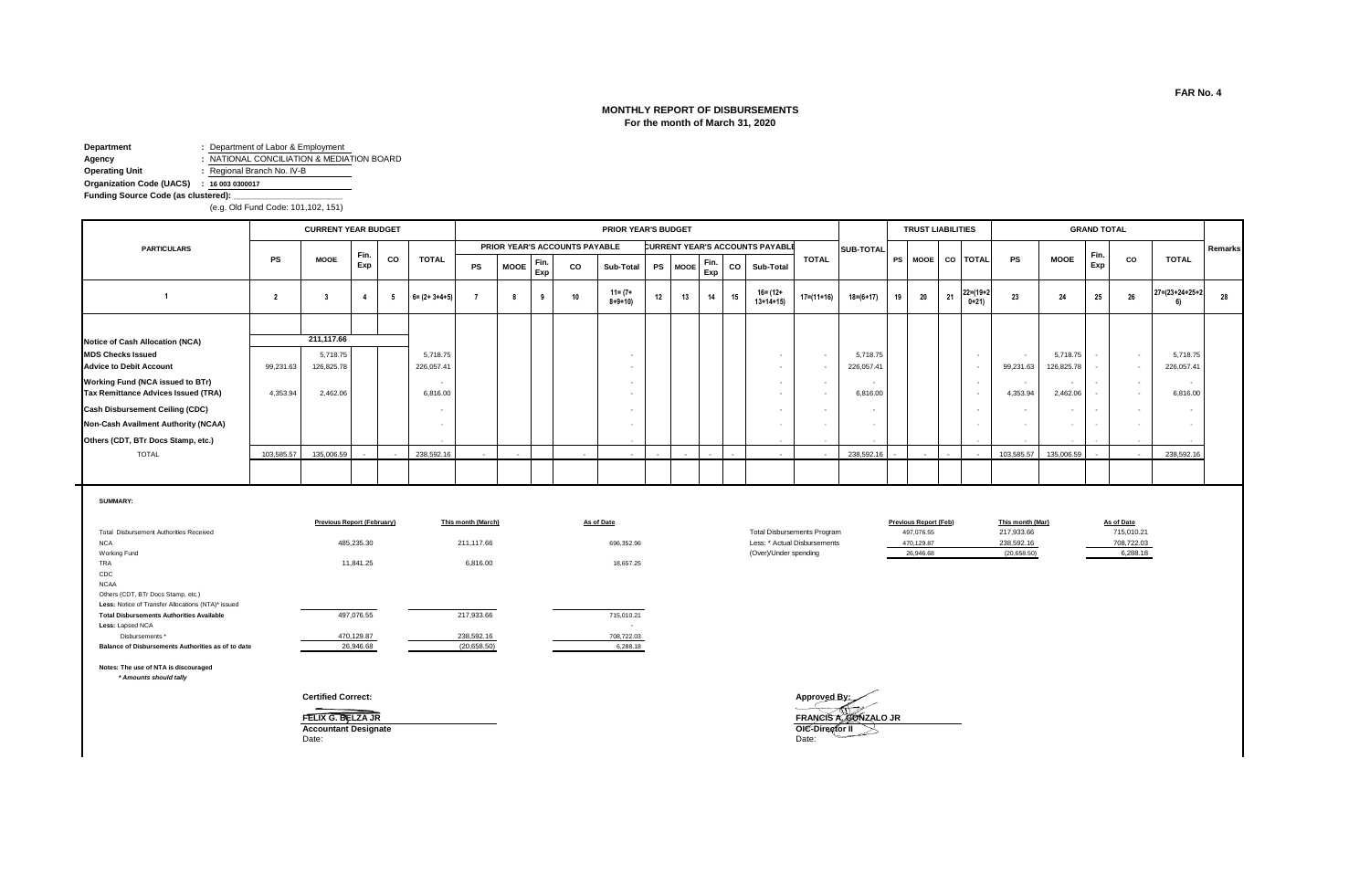#### **MONTHLY REPORT OF DISBURSEMENTS For the month of March 31, 2020**

**Department :** Department of Labor & Employment **Agency :** NATIONAL CONCILIATION & MEDIATION BOARD<br> **Operating Unit :** Regional Branch No. IV-B **Operating Unit :** Regional Branch No. IV-B

**Organization Code (UACS) : 16 003 0300017**

**Funding Source Code (as clustered): \_\_\_\_\_\_\_\_\_\_\_\_\_\_\_\_\_\_\_\_\_\_\_**

(e.g. Old Fund Code: 101,102, 151)

|                                                                                |            | <b>CURRENT YEAR BUDGET</b> |             |     |                          |           |             |             |                               | PRIOR YEAR'S BUDGET     |           |             |             |    |                                        |              |                        |    | <b>TRUST LIABILITIES</b> |                            |                                       |                                      | <b>GRAND TOTAL</b> |                  |                           |         |
|--------------------------------------------------------------------------------|------------|----------------------------|-------------|-----|--------------------------|-----------|-------------|-------------|-------------------------------|-------------------------|-----------|-------------|-------------|----|----------------------------------------|--------------|------------------------|----|--------------------------|----------------------------|---------------------------------------|--------------------------------------|--------------------|------------------|---------------------------|---------|
| <b>PARTICULARS</b>                                                             |            |                            |             |     |                          |           |             |             | PRIOR YEAR'S ACCOUNTS PAYABLE |                         |           |             |             |    | <b>CURRENT YEAR'S ACCOUNTS PAYABLE</b> |              | <b>SUB-TOTAL</b>       |    |                          |                            |                                       |                                      |                    |                  |                           | Remarks |
|                                                                                | <b>PS</b>  | <b>MOOE</b>                | Fin.<br>Exp | CO  | <b>TOTAL</b>             | <b>PS</b> | <b>MOOE</b> | Fin.<br>Exp | CO                            | Sub-Total               | <b>PS</b> | <b>MOOE</b> | Fin.<br>Exp |    | CO Sub-Total                           | <b>TOTAL</b> |                        |    |                          | PS MOOE CO TOTAL           | PS                                    | <b>MOOE</b>                          | Fin.<br>Exp        | <b>CO</b>        | <b>TOTAL</b>              |         |
|                                                                                |            |                            |             | - 5 | $6 = (2 + 3 + 4 + 5)$    |           |             |             |                               | 11= (7+<br>$8 + 9 + 10$ | 12        | 13          | 14          | 15 | 16= (12+<br>$13+14+15$                 | $17=(11+16)$ | $18 = (6 + 17)$        | 19 | 20                       | $22 = (19 + 2)$<br>$0+21)$ | 23                                    | 24                                   | 25                 | 26               | $27 = (23 + 24 + 25 + 2)$ | 28      |
|                                                                                |            |                            |             |     |                          |           |             |             |                               |                         |           |             |             |    |                                        |              |                        |    |                          |                            |                                       |                                      |                    |                  |                           |         |
| Notice of Cash Allocation (NCA)                                                |            | 211,117.66                 |             |     |                          |           |             |             |                               |                         |           |             |             |    |                                        |              |                        |    |                          |                            |                                       |                                      |                    |                  |                           |         |
| <b>MDS Checks Issued</b><br><b>Advice to Debit Account</b>                     | 99,231.63  | 5,718.75<br>126,825.78     |             |     | 5,718.75<br>226,057.41   |           |             |             |                               |                         |           |             |             |    | $\overline{\phantom{a}}$               |              | 5,718.75<br>226,057.41 |    |                          | $\sim$<br>$\sim$           | $\overline{\phantom{a}}$<br>99,231.63 | 5,718.75<br>126,825.78               |                    | $\sim$<br>$\sim$ | 5,718.75<br>226,057.41    |         |
| <b>Working Fund (NCA issued to BTr)</b><br>Tax Remittance Advices Issued (TRA) | 4,353.94   | 2,462.06                   |             |     | $\sim$<br>6,816.00       |           |             |             |                               |                         |           |             |             |    | $\overline{\phantom{a}}$               |              | 6,816.00               |    |                          | $\sim$                     | $\sim$<br>4,353.94                    | $\overline{\phantom{a}}$<br>2,462.06 |                    | $\sim$<br>$\sim$ | $\sim$<br>6,816.00        |         |
| <b>Cash Disbursement Ceiling (CDC)</b>                                         |            |                            |             |     | $\overline{\phantom{a}}$ |           |             |             |                               |                         |           |             |             |    |                                        |              |                        |    |                          |                            |                                       |                                      |                    | $\sim$           |                           |         |
| Non-Cash Availment Authority (NCAA)                                            |            |                            |             |     |                          |           |             |             |                               |                         |           |             |             |    |                                        |              |                        |    |                          |                            |                                       | $\sim$                               |                    |                  |                           |         |
| Others (CDT, BTr Docs Stamp, etc.)                                             |            |                            |             |     | $\sim$                   |           |             |             |                               | $\sim$                  |           |             |             |    | and the                                | $\sim$       |                        |    |                          |                            |                                       | $\sim$                               |                    | <b>Section</b>   | <b>Contract</b>           |         |
| <b>TOTAL</b>                                                                   | 103,585.57 | 135,006.59                 |             |     | 238,592.16               |           |             |             | $\sim$                        | $\sim$                  |           |             |             |    |                                        | $\sim$       | 238,592.16             |    |                          |                            |                                       | 103,585.57    135,006.59             |                    | $\sim$           | 238,592.16                |         |
|                                                                                |            |                            |             |     |                          |           |             |             |                               |                         |           |             |             |    |                                        |              |                        |    |                          |                            |                                       |                                      |                    |                  |                           |         |

**SUMMARY:**

|                                                    | <b>Previous Report (February)</b> | This month (March) | <b>As of Date</b> |                                    | <b>Previous Report (Feb)</b> | This month (Mar) | As of Date |
|----------------------------------------------------|-----------------------------------|--------------------|-------------------|------------------------------------|------------------------------|------------------|------------|
| Total Disbursement Authorities Received            |                                   |                    |                   | <b>Total Disbursements Program</b> | 497,076.55                   | 217,933.66       | 715,010.21 |
| <b>NCA</b>                                         | 485,235.30                        | 211,117.66         | 696,352.96        | Less: * Actual Disbursements       | 470,129.87                   | 238,592.16       | 708,722.03 |
| Working Fund                                       |                                   |                    |                   | (Over)/Under spending              | 26,946.68                    | (20,658.50)      | 6,288.18   |
| TRA                                                | 11,841.25                         | 6,816.00           | 18,657.25         |                                    |                              |                  |            |
| CDC                                                |                                   |                    |                   |                                    |                              |                  |            |
| <b>NCAA</b>                                        |                                   |                    |                   |                                    |                              |                  |            |
| Others (CDT, BTr Docs Stamp, etc.)                 |                                   |                    |                   |                                    |                              |                  |            |
| Less: Notice of Transfer Allocations (NTA)* issued |                                   |                    |                   |                                    |                              |                  |            |
| <b>Total Disbursements Authorities Available</b>   | 497,076.55                        | 217,933.66         | 715.010.21        |                                    |                              |                  |            |
| Less: Lapsed NCA                                   |                                   |                    | $\sim$            |                                    |                              |                  |            |
| Disbursements *                                    | 470,129.87                        | 238,592.16         | 708,722.03        |                                    |                              |                  |            |
| Balance of Disbursements Authorities as of to date | 26,946.68                         | (20, 658.50)       | 6,288.18          |                                    |                              |                  |            |

 *\* Amounts should tally*

**FELIX G. BELZA JR**<br> **Accountant Designate OIC-D**<br>
Date: Date: Date: Date: Date:

**Certified Correct: Approved By: FRANCIS A GONZALO JR**<br> **OIC-Director II** 

708,722.03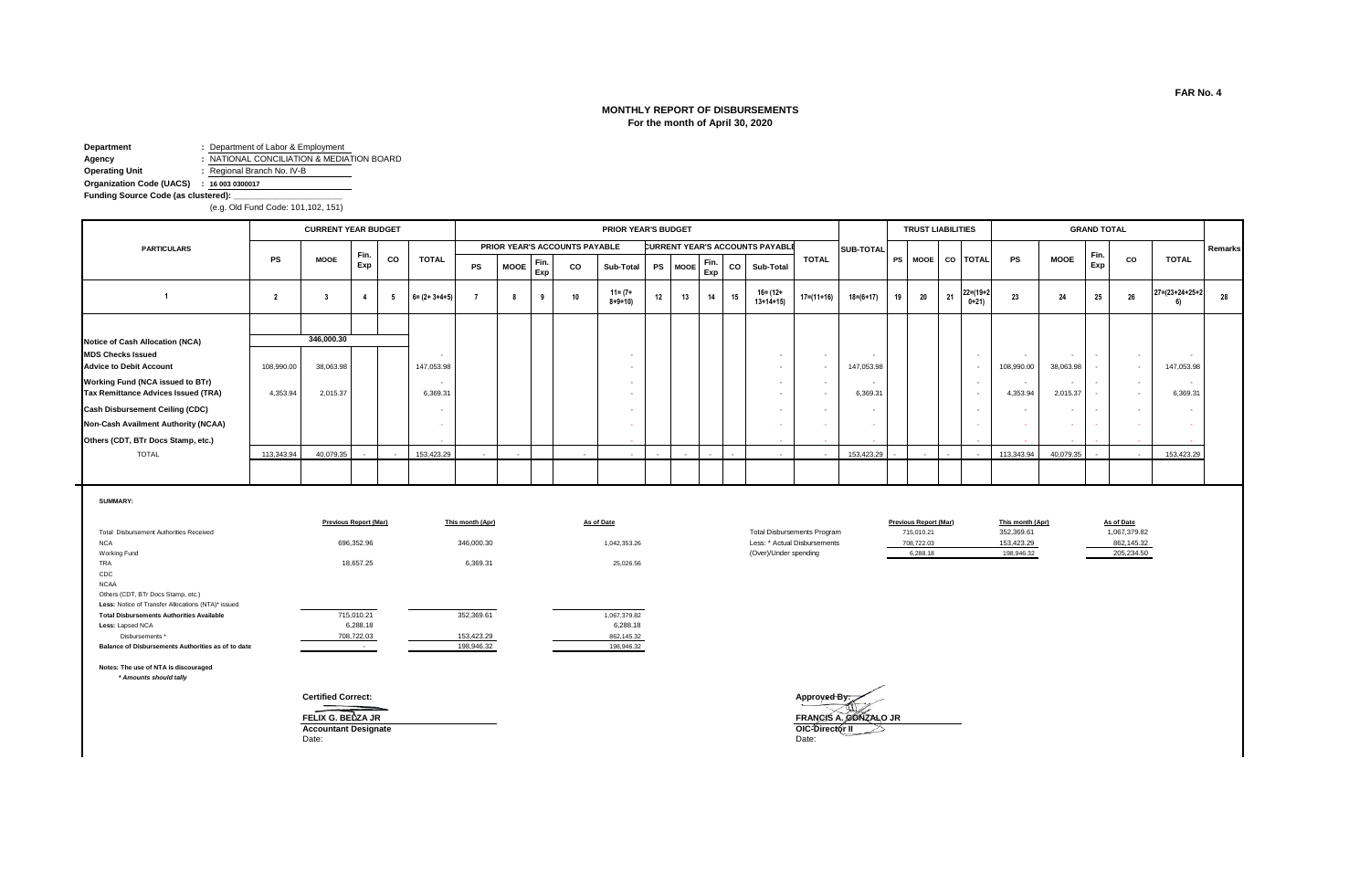# **MONTHLY REPORT OF DISBURSEMENTS For the month of April 30, 2020**

**Department :** Department of Labor & Employment **Agency :** NATIONAL CONCILIATION & MEDIATION BOARD<br> **Operating Unit :** Regional Branch No. IV-B **Operating Unit :** Regional Branch No. IV-B

**Organization Code (UACS) : 16 003 0300017 Funding Source Code (as clustered): \_\_\_\_\_\_\_\_\_\_\_\_\_\_\_\_\_\_\_\_\_\_\_**

(e.g. Old Fund Code: 101,102, 151)

|                                                                                |            | <b>CURRENT YEAR BUDGET</b> |              |    |                       |    |             |             |                               | <b>PRIOR YEAR'S BUDGET</b> |        |         |             |    |    |                                        |              |             |           | <b>TRUST LIABILITIES</b> |    |                           |                                        |                                      | <b>GRAND TOTAL</b> |                          |                |         |
|--------------------------------------------------------------------------------|------------|----------------------------|--------------|----|-----------------------|----|-------------|-------------|-------------------------------|----------------------------|--------|---------|-------------|----|----|----------------------------------------|--------------|-------------|-----------|--------------------------|----|---------------------------|----------------------------------------|--------------------------------------|--------------------|--------------------------|----------------|---------|
| <b>PARTICULARS</b>                                                             |            |                            |              |    |                       |    |             |             | PRIOR YEAR'S ACCOUNTS PAYABLE |                            |        |         |             |    |    | <b>CURRENT YEAR'S ACCOUNTS PAYABLE</b> |              | SUB-TOTAL   |           |                          |    |                           |                                        |                                      |                    |                          |                | Remarks |
|                                                                                | PS         | <b>MOOE</b>                | Fin.<br>Exp  | CO | <b>TOTAL</b>          | PS | <b>MOOE</b> | Fin.<br>Exp | co                            | Sub-Total                  |        | PS MOOE | Fin.<br>Exp |    | CO | Sub-Total                              | <b>TOTAL</b> |             | <b>PS</b> |                          |    | MOOE CO TOTAL             | PS                                     | <b>MOOE</b>                          | Fin.<br>Exp        | CO                       | <b>TOTAL</b>   |         |
|                                                                                | - 2        |                            | $\mathbf{A}$ |    | $6 = (2 + 3 + 4 + 5)$ |    |             |             | 10                            | 11= (7+<br>$8 + 9 + 10$    | 12     | 13      |             | 14 | 15 | $16 = (12 +$<br>$13+14+15$             | 17=(11+16)   | $18=(6+17)$ | 19        | 20                       | 21 | $22 = (19 + 2)$<br>$0+21$ | 23                                     | 24                                   | -25                | 26                       | 27=(23+24+25+2 | 28      |
|                                                                                |            |                            |              |    |                       |    |             |             |                               |                            |        |         |             |    |    |                                        |              |             |           |                          |    |                           |                                        |                                      |                    |                          |                |         |
| Notice of Cash Allocation (NCA)                                                |            | 346,000.30                 |              |    |                       |    |             |             |                               |                            |        |         |             |    |    |                                        |              |             |           |                          |    |                           |                                        |                                      |                    |                          |                |         |
| <b>MDS Checks Issued</b><br><b>Advice to Debit Account</b>                     | 108,990.00 | 38,063.98                  |              |    | 147,053.98            |    |             |             |                               |                            |        |         |             |    |    |                                        |              | 147,053.98  |           |                          |    | $\sim$                    | $\overline{\phantom{a}}$<br>108,990.00 | $\sim$<br>38,063.98                  |                    | $\overline{a}$<br>$\sim$ | 147,053.98     |         |
| <b>Working Fund (NCA issued to BTr)</b><br>Tax Remittance Advices Issued (TRA) | 4,353.94   | 2,015.37                   |              |    | $\sim$<br>6,369.31    |    |             |             |                               |                            |        |         |             |    |    |                                        |              | 6,369.31    |           |                          |    | $\sim$<br>$\sim$          | 4,353.94                               | $\overline{\phantom{a}}$<br>2,015.37 |                    | $\sim$<br>$\sim$         | 6,369.31       |         |
| <b>Cash Disbursement Ceiling (CDC)</b>                                         |            |                            |              |    |                       |    |             |             |                               |                            |        |         |             |    |    |                                        |              |             |           |                          |    |                           |                                        | $\sim$                               |                    |                          |                |         |
| Non-Cash Availment Authority (NCAA)                                            |            |                            |              |    |                       |    |             |             |                               |                            |        |         |             |    |    |                                        |              |             |           |                          |    |                           |                                        | $\sim$                               |                    |                          |                |         |
| Others (CDT, BTr Docs Stamp, etc.)                                             |            |                            |              |    |                       |    |             |             |                               | $\sim$                     |        |         |             |    |    | $\sim$                                 | $\sim$       |             |           |                          |    |                           |                                        | $\sim$                               |                    |                          |                |         |
| <b>TOTAL</b>                                                                   | 113,343.94 | 40,079.35                  |              |    | 153,423.29            |    | $\sim$      |             | $\overline{\phantom{a}}$      | $\sim$                     | $\sim$ | $\sim$  | $\sim$      |    |    | $\sim$                                 | $\sim$       | 153,423.29  |           |                          |    |                           | 113,343.94                             | 40,079.35                            |                    | $\sim$                   | 153,423.29     |         |
|                                                                                |            |                            |              |    |                       |    |             |             |                               |                            |        |         |             |    |    |                                        |              |             |           |                          |    |                           |                                        |                                      |                    |                          |                |         |

**SUMMARY:**

|                                                    | <b>Previous Report (Mar)</b> | This month (Apr) | As of Date   |                                    | <b>Previous Report (Mar)</b> | This month (Apr) | As of Date |
|----------------------------------------------------|------------------------------|------------------|--------------|------------------------------------|------------------------------|------------------|------------|
| Total Disbursement Authorities Received            |                              |                  |              | <b>Total Disbursements Program</b> | 715.010.21                   | 352,369.61       | 1,067,37   |
| <b>NCA</b>                                         | 696,352.96                   | 346,000.30       | 1,042,353.26 | Less: * Actual Disbursements       | 708,722.03                   | 153,423.29       | 862,14     |
| Working Fund                                       |                              |                  |              | (Over)/Under spending              | 6,288.18                     | 198,946.32       | 205,23     |
| <b>TRA</b>                                         | 18,657.25                    | 6,369.31         | 25,026.56    |                                    |                              |                  |            |
| CDC                                                |                              |                  |              |                                    |                              |                  |            |
| <b>NCAA</b>                                        |                              |                  |              |                                    |                              |                  |            |
| Others (CDT, BTr Docs Stamp, etc.)                 |                              |                  |              |                                    |                              |                  |            |
| Less: Notice of Transfer Allocations (NTA)* issued |                              |                  |              |                                    |                              |                  |            |
| <b>Total Disbursements Authorities Available</b>   | 715,010.21                   | 352,369.61       | 1,067,379.82 |                                    |                              |                  |            |
| Less: Lapsed NCA                                   | 6,288.18                     |                  | 6,288.18     |                                    |                              |                  |            |
| Disbursements *                                    | 708,722.03                   | 153,423.29       | 862,145.32   |                                    |                              |                  |            |
| Balance of Disbursements Authorities as of to date |                              | 198,946.32       | 198,946.32   |                                    |                              |                  |            |
|                                                    |                              |                  |              |                                    |                              |                  |            |

| 352.369.61<br><b>Total Disbursements Program</b><br>715.010.21 | As of Date   |
|----------------------------------------------------------------|--------------|
|                                                                | 1.067.379.82 |
| Less: * Actual Disbursements<br>153.423.29<br>708.722.03       | 862.145.32   |
| (Over)/Under spending<br>6.288.18<br>198,946.32                | 205.234.50   |

862,145.32

**Notes: The use of NTA is discouraged**

 *\* Amounts should tally*

**FELIX G. BEUZA JR<br>Accountant Designate OIC-D**<br>Date: Date: Date: Date: Date:

**Certified Correct: Approved By: FRANCIS A. GONZALO JR**<br>**OIC-Director II**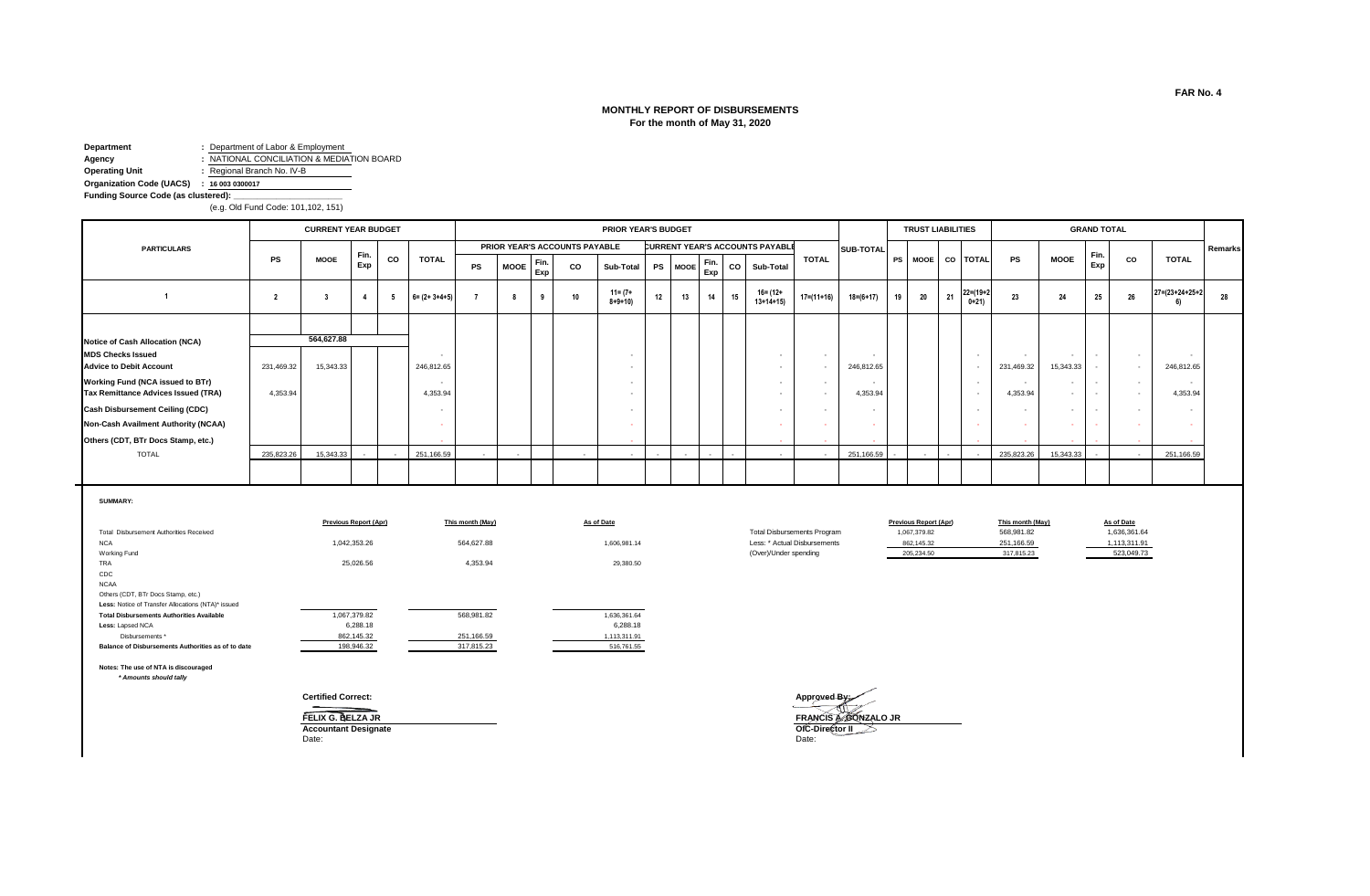# **MONTHLY REPORT OF DISBURSEMENTS For the month of May 31, 2020**

**Department :** Department of Labor & Employment **Agency :** NATIONAL CONCILIATION & MEDIATION BOARD<br> **Operating Unit :** Regional Branch No. IV-B **Operating Unit :** Regional Branch No. IV-B

**Organization Code (UACS) : 16 003 0300017**

**Funding Source Code (as clustered): \_\_\_\_\_\_\_\_\_\_\_\_\_\_\_\_\_\_\_\_\_\_\_**

(e.g. Old Fund Code: 101,102, 151)

|                                         |            | <b>CURRENT YEAR BUDGET</b> |             |        |                          |           |             |             |                               | PRIOR YEAR'S BUDGET         |           |             |             |      |                                        |                |                  |    | <b>TRUST LIABILITIES</b> |    |                          |                          |                          | <b>GRAND TOTAL</b> |                          |                |         |
|-----------------------------------------|------------|----------------------------|-------------|--------|--------------------------|-----------|-------------|-------------|-------------------------------|-----------------------------|-----------|-------------|-------------|------|----------------------------------------|----------------|------------------|----|--------------------------|----|--------------------------|--------------------------|--------------------------|--------------------|--------------------------|----------------|---------|
| <b>PARTICULARS</b>                      |            |                            |             |        |                          |           |             |             | PRIOR YEAR'S ACCOUNTS PAYABLE |                             |           |             |             |      | <b>CURRENT YEAR'S ACCOUNTS PAYABLE</b> |                | <b>SUB-TOTAL</b> |    |                          |    |                          |                          |                          |                    |                          |                | Remarks |
|                                         | <b>PS</b>  | <b>MOOE</b>                | Fin.<br>Exp | CO     | <b>TOTAL</b>             | <b>PS</b> | <b>MOOE</b> | Fin.<br>Exp | co                            | Sub-Total                   | <b>PS</b> | <b>MOOE</b> | Fin.<br>Exp | co l | <b>Sub-Total</b>                       | <b>TOTAL</b>   |                  |    |                          |    | PS MOOE CO TOTAL         | PS                       | <b>MOOE</b>              | Fin<br>Exp         | CO                       | <b>TOTAL</b>   |         |
|                                         |            |                            |             | 5      | $6 = (2 + 3 + 4 + 5)$    |           |             | 9           | 10                            | $11 = (7 +$<br>$8 + 9 + 10$ | 12        | 13          | 14          | 15   | 16= (12+<br>$13+14+15$                 | $17=(11+16)$   | $18 = (6 + 17)$  | 19 | 20                       | 21 | $22=(19+2)$<br>$0+21$    | 23                       | 24                       | 25                 | 26                       | 27=(23+24+25+2 | 28      |
|                                         |            |                            |             |        |                          |           |             |             |                               |                             |           |             |             |      |                                        |                |                  |    |                          |    |                          |                          |                          |                    |                          |                |         |
| Notice of Cash Allocation (NCA)         |            | 564,627.88                 |             |        |                          |           |             |             |                               |                             |           |             |             |      |                                        |                |                  |    |                          |    |                          |                          |                          |                    |                          |                |         |
| <b>MDS Checks Issued</b>                |            |                            |             |        | $\sim$                   |           |             |             |                               |                             |           |             |             |      |                                        |                |                  |    |                          |    |                          |                          |                          |                    | $\overline{\phantom{a}}$ |                |         |
| <b>Advice to Debit Account</b>          | 231,469.32 | 15,343.33                  |             |        | 246,812.65               |           |             |             |                               |                             |           |             |             |      |                                        |                | 246,812.65       |    |                          |    |                          | 231,469.32               | 15,343.33                |                    | $\sim$                   | 246,812.65     |         |
| <b>Working Fund (NCA issued to BTr)</b> |            |                            |             |        | $\sim$                   |           |             |             |                               |                             |           |             |             |      |                                        | $\sim$         |                  |    |                          |    | $\overline{\phantom{a}}$ | $\overline{\phantom{a}}$ | $\overline{\phantom{a}}$ |                    | $\sim$                   | $\sim$         |         |
| Tax Remittance Advices Issued (TRA)     | 4,353.94   |                            |             |        | 4,353.94                 |           |             |             |                               |                             |           |             |             |      |                                        |                | 4,353.94         |    |                          |    |                          | 4,353.94                 | $\sim$                   |                    | $\sim$                   | 4,353.94       |         |
| <b>Cash Disbursement Ceiling (CDC)</b>  |            |                            |             |        | $\overline{\phantom{a}}$ |           |             |             |                               |                             |           |             |             |      |                                        |                |                  |    |                          |    |                          |                          |                          |                    |                          |                |         |
| Non-Cash Availment Authority (NCAA)     |            |                            |             |        |                          |           |             |             |                               |                             |           |             |             |      |                                        |                |                  |    |                          |    |                          |                          | $\sim$                   |                    |                          |                |         |
| Others (CDT, BTr Docs Stamp, etc.)      |            |                            |             |        | $\sim$                   |           |             |             |                               |                             |           |             |             |      |                                        |                |                  |    |                          |    |                          |                          | $\sim$                   |                    |                          |                |         |
| <b>TOTAL</b>                            | 235,823.26 | 15,343.33                  |             | $\sim$ | 251,166.59               |           | $\sim$      |             | $\sim$                        | $\sim$                      | $\sim$    | $\sim$      |             |      | $\sim$                                 | <b>Service</b> | 251,166.59       |    | $\overline{\phantom{a}}$ |    | $\sim$                   | 235,823.26               | 15,343.33                |                    | $\sim$ 100 $\mu$         | 251,166.59     |         |
|                                         |            |                            |             |        |                          |           |             |             |                               |                             |           |             |             |      |                                        |                |                  |    |                          |    |                          |                          |                          |                    |                          |                |         |

**SUMMARY:**

|                                                    | <b>Previous Report (Apr)</b> | This month (May) | <b>As of Date</b> |                                    | <b>Previous Report (Apr)</b> | This month (May) | As of Date |
|----------------------------------------------------|------------------------------|------------------|-------------------|------------------------------------|------------------------------|------------------|------------|
| Total Disbursement Authorities Received            |                              |                  |                   | <b>Total Disbursements Program</b> | 1,067,379.82                 | 568,981.82       | 1,636,36   |
| <b>NCA</b>                                         | 1,042,353.26                 | 564.627.88       | 1,606,981.14      | Less: * Actual Disbursements       | 862,145.32                   | 251,166.59       | 1,113,31   |
| Working Fund                                       |                              |                  |                   | (Over)/Under spending              | 205.234.50                   | 317,815.23       | 523,04     |
| <b>TRA</b>                                         | 25,026.56                    | 4,353.94         | 29,380.50         |                                    |                              |                  |            |
| CDC                                                |                              |                  |                   |                                    |                              |                  |            |
| <b>NCAA</b>                                        |                              |                  |                   |                                    |                              |                  |            |
| Others (CDT, BTr Docs Stamp, etc.)                 |                              |                  |                   |                                    |                              |                  |            |
| Less: Notice of Transfer Allocations (NTA)* issued |                              |                  |                   |                                    |                              |                  |            |
| <b>Total Disbursements Authorities Available</b>   | 1,067,379.82                 | 568,981.82       | 1,636,361.64      |                                    |                              |                  |            |
| Less: Lapsed NCA                                   | 6,288.18                     |                  | 6,288.18          |                                    |                              |                  |            |
| Disbursements *                                    | 862,145.32                   | 251,166.59       | 1,113,311.91      |                                    |                              |                  |            |
| Balance of Disbursements Authorities as of to date | 198,946.32                   | 317,815.23       | 516,761.55        |                                    |                              |                  |            |
|                                                    |                              |                  |                   |                                    |                              |                  |            |

**Notes: The use of NTA is discouraged**

 *\* Amounts should tally*

Date: Date:

**Certified Correct: Approved By:** đĩ **ACCOUNTER C. BELZA JR<br>
Accountant Designate**<br>
Date: Date:<br>
Date:<br>
Date: **FELIX G. BELZA JR FRANCIS A. GONZALO JR**

1,113,311.91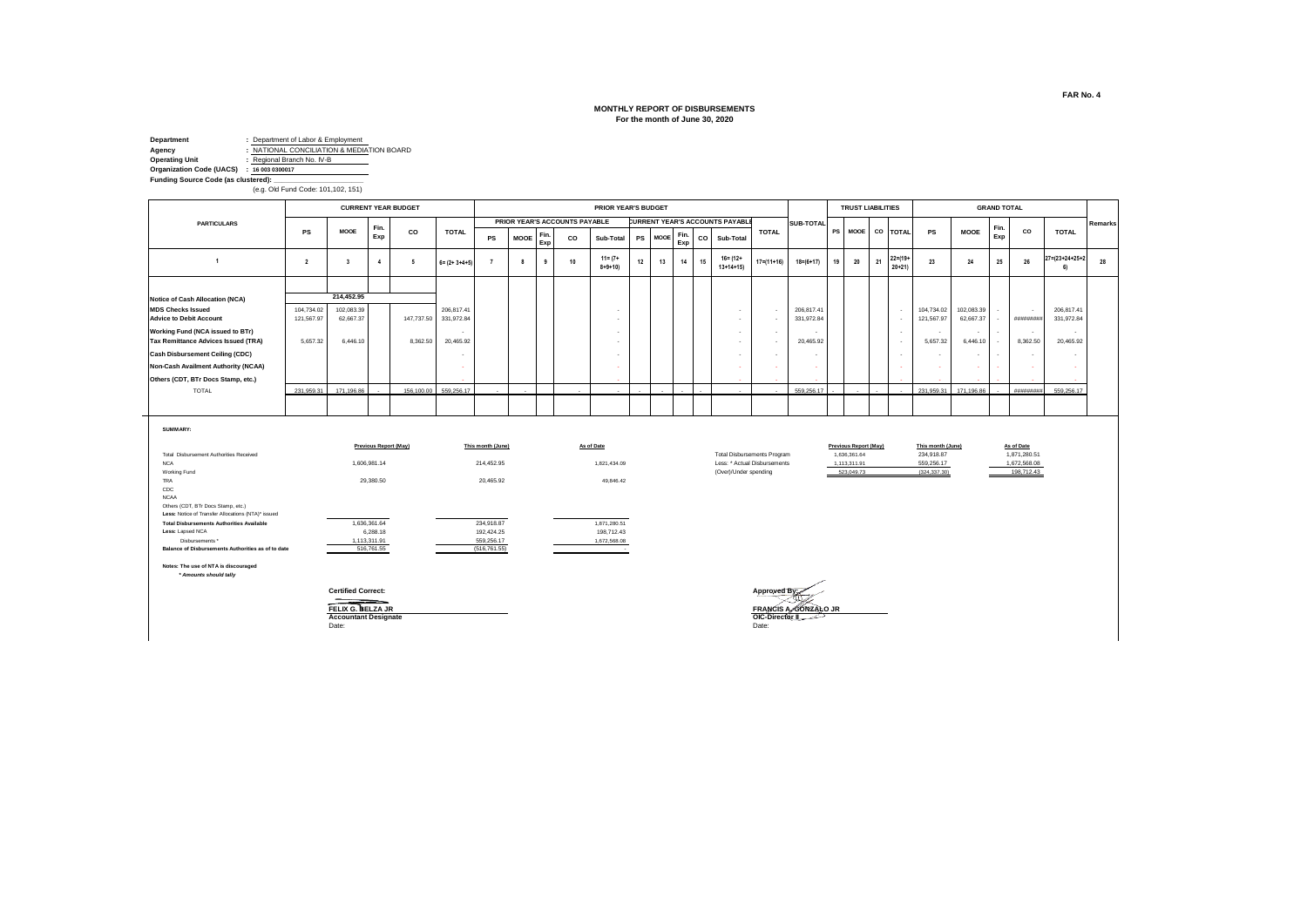#### **MONTHLY REPORT OF DISBURSEMENTS For the month of June 30, 2020**

**Department :** Department of Labor & Employment<br>**Agency :** NATIONAL CONCILIATION & MEDIAT **Agency**<br> **Agency b i MATIONAL CONCILIATION & MEDIA**TION BOARD<br> **Operating Unit c Regional Branch No. IV-B Operating Unit :** Regional Branch No. IV-B **Organization Code (UACS) : 16 003 0300017** Funding Source Code (as clustered): (e.g. Old Fund Code: 101,102, 151)

 *\* Amounts should tally*

**PS MOOE Fin. Exp CO Sub-Total PS MOOE Fin. Exp CO Sub-Total <sup>2</sup> <sup>3</sup> <sup>4</sup> 5 6= (2+ 3+4+5) <sup>7</sup> <sup>8</sup> <sup>9</sup> <sup>10</sup> 11= (7+ 8+9+10) <sup>12</sup> <sup>13</sup> <sup>14</sup> <sup>15</sup> 16= (12+ 13+14+15) 17=(11+16) 18=(6+17) <sup>19</sup> <sup>20</sup> <sup>21</sup> 22=(19+**  $22=(19+21)$ **<sup>23</sup> <sup>24</sup> <sup>25</sup> <sup>26</sup> 27=(23+24+25+2 6) 28 Notice of Cash Allocation (NCA) MDS Checks Issued** 104,734.02 102,083.39 206,817.41 - - - 206,817.41 - 104,734.02 102,083.39 - - 206,817.41 **Advice to Debit Account** 121,567.97 62,667.37 147,737.50 331,972.84 - - - 331,972.84 - 121,567.97 62,667.37 - ######### 331,972.84 **Working Fund (NCA issued to BTr)** - - - - - - - - - - - - **Tax Remittance Advices Issued (TRA)** 5,657.32 6,446.10 8,362.50 20,465.52 | | | | | | | | | | | | | 20,465.52 | ا ـ - <mark>Cash Disbursement Ceiling (CDC) من السابق التي يقط التي تعليم التي يقط التي تعليم التي يقط التي يقط التي ت</mark> **Non-Cash Availment Authority (NCAA)** - - - - - - - - - - - **Others (CDT, BTr Docs Stamp, etc.)** TOTAL 231,959.31 171,196.86 - 156,100.00 559,256.17 - - - - - - - - - - 559,256.17 - - - - 231,959.31 171,196.86 - ######### 559,256.17 **SUMMARY: PRIOR YEAR'S BUDGET PRIOR YEAR'S ACCOUNTS PAYABLE CURRENT YEAR'S ACCOUNTS PAYABLE** SUB-TOTAL **TOTAL CURRENT YEAR BUDGET Remarks TOTAL PARTICULARS PS TRUST LIABILITIES GRAND TOTAL MOOE Fin. Exp CO TOTAL PS MOOE Fin. Exp CO 1 214,452.95 CO TOTAL PS MOOE**

|                                                    | <b>Previous Report (May)</b> | This month (June) | As of Date                                                                                                              |                                    | <b>Previous Report (May)</b> | This month (June) | As of Date |
|----------------------------------------------------|------------------------------|-------------------|-------------------------------------------------------------------------------------------------------------------------|------------------------------------|------------------------------|-------------------|------------|
| Total Disbursement Authorities Received            |                              |                   |                                                                                                                         | <b>Total Disbursements Program</b> | 1,636,361.64                 | 234,918.87        | 1,871,28   |
| <b>NCA</b>                                         | 1.606.981.14                 | 214.452.95        | 1,821,434.09                                                                                                            | Less: * Actual Disbursements       | 1,113,311.91                 | 559,256.17        | 1,672,56   |
| Working Fund                                       |                              |                   |                                                                                                                         | (Over)/Under spending              | 523,049.73                   | (324, 337, 30)    | 198,71     |
| <b>TRA</b>                                         | 29,380.50                    | 20,465.92         | 49,846.42                                                                                                               |                                    |                              |                   |            |
| CDC                                                |                              |                   |                                                                                                                         |                                    |                              |                   |            |
| <b>NCAA</b>                                        |                              |                   |                                                                                                                         |                                    |                              |                   |            |
| Others (CDT, BTr Docs Stamp, etc.)                 |                              |                   |                                                                                                                         |                                    |                              |                   |            |
| Less: Notice of Transfer Allocations (NTA)* issued |                              |                   |                                                                                                                         |                                    |                              |                   |            |
| <b>Total Disbursements Authorities Available</b>   | 1.636.361.64                 | 234.918.87        | 1,871,280.51                                                                                                            |                                    |                              |                   |            |
| Less: Lapsed NCA                                   | 6,288.18                     | 192.424.25        | 198,712.43                                                                                                              |                                    |                              |                   |            |
| Disbursements *                                    | 1,113,311.91                 | 559,256.17        | 1,672,568.08                                                                                                            |                                    |                              |                   |            |
| Balance of Disbursements Authorities as of to date | 516,761.55                   | (516, 761.55)     | <u> The Communication of the Communication of the Communication of the Communication of the Communication of the Co</u> |                                    |                              |                   |            |
| Notes: The use of NTA is discoursed.               |                              |                   |                                                                                                                         |                                    |                              |                   |            |

Date: Date:

بيز Certified Correct: **Approved By:** المستقادة المستقادة المستقدمة المستقدمة المستقدمة المستقدمة المستقدمة المستقدمة

**Accountant Designate COIC-Director II**<br>
Date: Date: Date: Date: Date: Date: Date: Date: Date: Date: Date: Date: Date: Date: Date: Date: Date: Date: Date: Date: Date: Date: Date: Date: Date: Date: Date: Date: Date: Date: **FELIX G. BELZA JR FRANCIS A. GONZALO JR**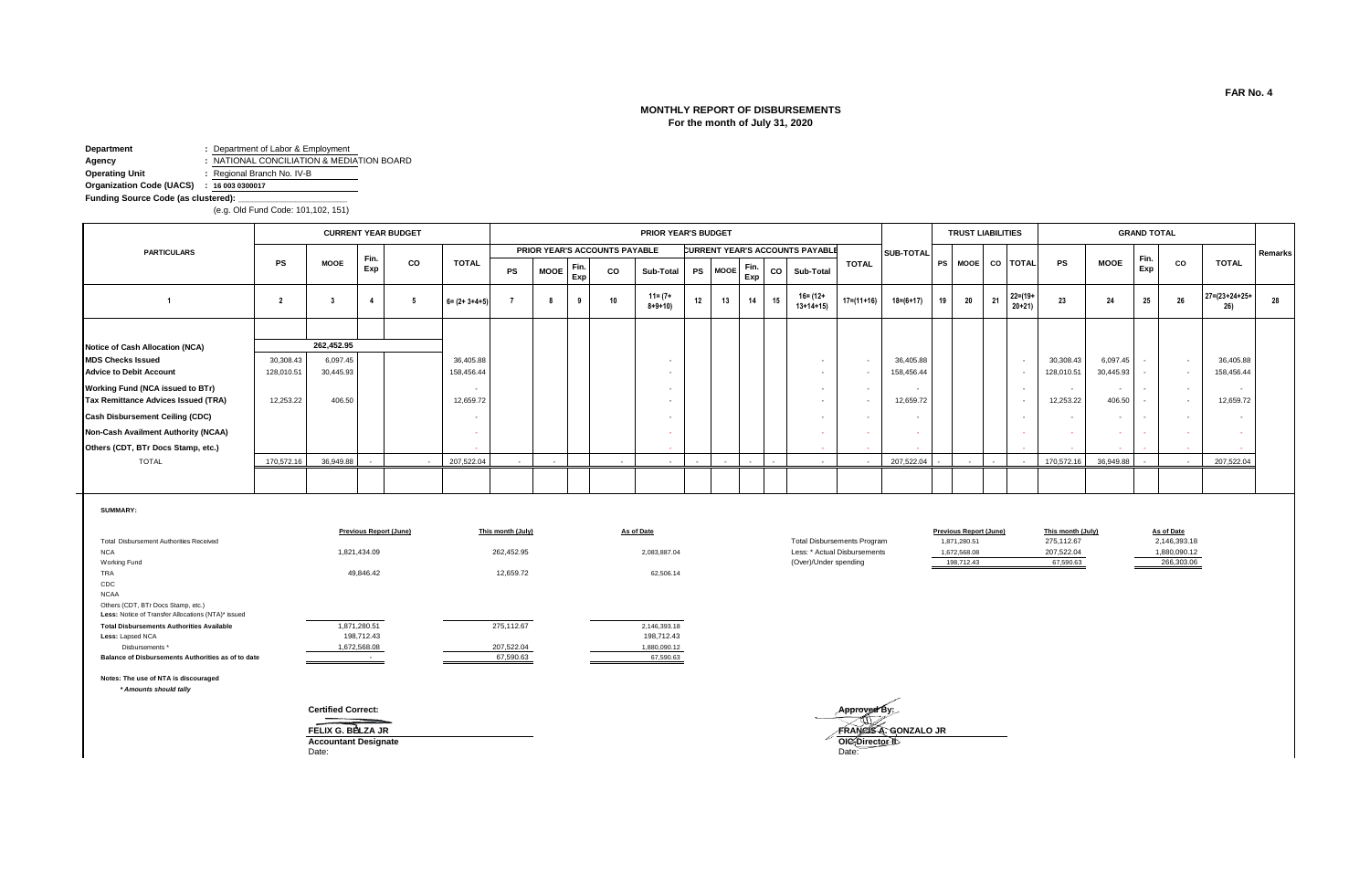# **MONTHLY REPORT OF DISBURSEMENTS For the month of July 31, 2020**

**Department :** Department of Labor & Employment **Agency :** NATIONAL CONCILIATION & MEDIATION BOARD **Operating Unit :** Regional Branch No. IV-B

**Organization Code (UACS) : 16 003 0300017** Funding Source Code (as clustered):

(e.g. Old Fund Code: 101,102, 151)

|                                        |            |             |      | <b>CURRENT YEAR BUDGET</b> |                       |           |             |             |                               | PRIOR YEAR'S BUDGET         |    |         |             |    |                                 |                  |                  |    | <b>TRUST LIABILITIES</b> |        |                           |            |             | <b>GRAND TOTAL</b> |           |                               |         |
|----------------------------------------|------------|-------------|------|----------------------------|-----------------------|-----------|-------------|-------------|-------------------------------|-----------------------------|----|---------|-------------|----|---------------------------------|------------------|------------------|----|--------------------------|--------|---------------------------|------------|-------------|--------------------|-----------|-------------------------------|---------|
| <b>PARTICULARS</b>                     |            |             | Fin. |                            |                       |           |             |             | PRIOR YEAR'S ACCOUNTS PAYABLE |                             |    |         |             |    | CURRENT YEAR'S ACCOUNTS PAYABLE |                  | <b>SUB-TOTAL</b> |    |                          |        |                           |            |             | Fin.               |           |                               | Remarks |
|                                        | <b>PS</b>  | <b>MOOE</b> | Exp  | CO                         | <b>TOTAL</b>          | <b>PS</b> | <b>MOOE</b> | Fin.<br>Exp | CO                            | Sub-Total                   |    | PS MOOE | Fin.<br>Exp | CO | Sub-Total                       | <b>TOTAL</b>     |                  |    | PS MOOE CO TOTAL         |        |                           | <b>PS</b>  | <b>MOOE</b> | Exp                | <b>CO</b> | <b>TOTAL</b>                  |         |
|                                        |            |             |      |                            | $6 = (2 + 3 + 4 + 5)$ |           | 8           |             | 10                            | $11 = (7 +$<br>$8 + 9 + 10$ | 12 | 13      | 14          | 15 | 16= (12+<br>$13+14+15$          | $17 = (11 + 16)$ | $18 = (6 + 17)$  | 19 | 20                       | 21     | $22 = (19 +$<br>$20 + 21$ | 23         | 24          | 25                 | 26        | $27 = (23 + 24 + 25 +$<br>26) | 28      |
|                                        |            |             |      |                            |                       |           |             |             |                               |                             |    |         |             |    |                                 |                  |                  |    |                          |        |                           |            |             |                    |           |                               |         |
| Notice of Cash Allocation (NCA)        |            | 262,452.95  |      |                            |                       |           |             |             |                               |                             |    |         |             |    |                                 |                  |                  |    |                          |        |                           |            |             |                    |           |                               |         |
| <b>MDS Checks Issued</b>               | 30,308.43  | 6,097.45    |      |                            | 36,405.88             |           |             |             |                               |                             |    |         |             |    |                                 | $\sim$           | 36,405.88        |    |                          |        |                           | 30,308.43  | 6,097.45    |                    | $\sim$    | 36,405.88                     |         |
| <b>Advice to Debit Account</b>         | 128,010.51 | 30,445.93   |      |                            | 158,456.44            |           |             |             |                               |                             |    |         |             |    |                                 |                  | 158,456.44       |    |                          |        |                           | 128,010.51 | 30,445.93   |                    | $\sim$    | 158,456.44                    |         |
| Working Fund (NCA issued to BTr)       |            |             |      |                            |                       |           |             |             |                               |                             |    |         |             |    |                                 |                  |                  |    |                          |        |                           |            |             |                    | $\sim$    |                               |         |
| Tax Remittance Advices Issued (TRA)    | 12,253.22  | 406.50      |      |                            | 12,659.72             |           |             |             |                               | $\overline{\phantom{a}}$    |    |         |             |    |                                 |                  | 12,659.72        |    |                          |        |                           | 12,253.22  | 406.50      |                    | $\sim$    | 12,659.72                     |         |
| <b>Cash Disbursement Ceiling (CDC)</b> |            |             |      |                            |                       |           |             |             |                               |                             |    |         |             |    |                                 |                  |                  |    |                          |        |                           |            |             |                    | $\sim$    |                               |         |
| Non-Cash Availment Authority (NCAA)    |            |             |      |                            |                       |           |             |             |                               |                             |    |         |             |    |                                 |                  |                  |    |                          |        |                           |            |             |                    | ×.        |                               |         |
| Others (CDT, BTr Docs Stamp, etc.)     |            |             |      |                            |                       |           |             |             |                               |                             |    |         |             |    |                                 |                  |                  |    |                          |        |                           |            |             |                    |           |                               |         |
| <b>TOTAL</b>                           | 170,572.16 | 36,949.88   |      |                            | 207,522.04            | $\sim$    | $\sim$      |             |                               | $\sim$                      |    |         |             |    | $\sim$                          |                  | 207,522.04       |    |                          | $\sim$ |                           | 170,572.16 | 36,949.88   |                    | $\sim$    | 207,522.04                    |         |
|                                        |            |             |      |                            |                       |           |             |             |                               |                             |    |         |             |    |                                 |                  |                  |    |                          |        |                           |            |             |                    |           |                               |         |

#### **SUMMARY:**

|                                                    | <b>Previous Report (June)</b> | This month (July) | As of Date   |                                    | <b>Previous Report (June)</b> | This month (July) | As of Date   |
|----------------------------------------------------|-------------------------------|-------------------|--------------|------------------------------------|-------------------------------|-------------------|--------------|
| Total Disbursement Authorities Received            |                               |                   |              | <b>Total Disbursements Program</b> | 1,871,280.51                  | 275,112.67        | 2,146,393.18 |
| <b>NCA</b>                                         | 1,821,434.09                  | 262,452.95        | 2,083,887.04 | Less: * Actual Disbursements       | 1,672,568.08                  | 207,522.04        | 1,880,090.12 |
| Working Fund                                       |                               |                   |              | (Over)/Under spending              | 198,712.43                    | 67,590.63         | 266,303.06   |
| TRA                                                | 49,846.42                     | 12,659.72         | 62,506.14    |                                    |                               |                   |              |
| CDC                                                |                               |                   |              |                                    |                               |                   |              |
| <b>NCAA</b>                                        |                               |                   |              |                                    |                               |                   |              |
| Others (CDT, BTr Docs Stamp, etc.)                 |                               |                   |              |                                    |                               |                   |              |
| Less: Notice of Transfer Allocations (NTA)* issued |                               |                   |              |                                    |                               |                   |              |
| <b>Total Disbursements Authorities Available</b>   | 1,871,280.51                  | 275,112.67        | 2,146,393.18 |                                    |                               |                   |              |
| Less: Lapsed NCA                                   | 198.712.43                    |                   | 198.712.43   |                                    |                               |                   |              |
| Disbursements *                                    | 1,672,568.08                  | 207.522.04        | 1,880,090.12 |                                    |                               |                   |              |
| Balance of Disbursements Authorities as of to date |                               | 67,590.63         | 67,590.63    |                                    |                               |                   |              |
|                                                    |                               |                   |              |                                    |                               |                   |              |

**Notes: The use of NTA is discouraged**  *\* Amounts should tally*

**Certified Correct: Approved By: ACCOUNTER CONSTRUERED ACCOUNTER ACCOUNTANT DESIGNATE**<br> **Accountant Designate OIC-Director II**<br>
Date: Date: Date: Date: Date: Date: **FRANCIS A. GONZALO JR**<br>**OIC**-Director ID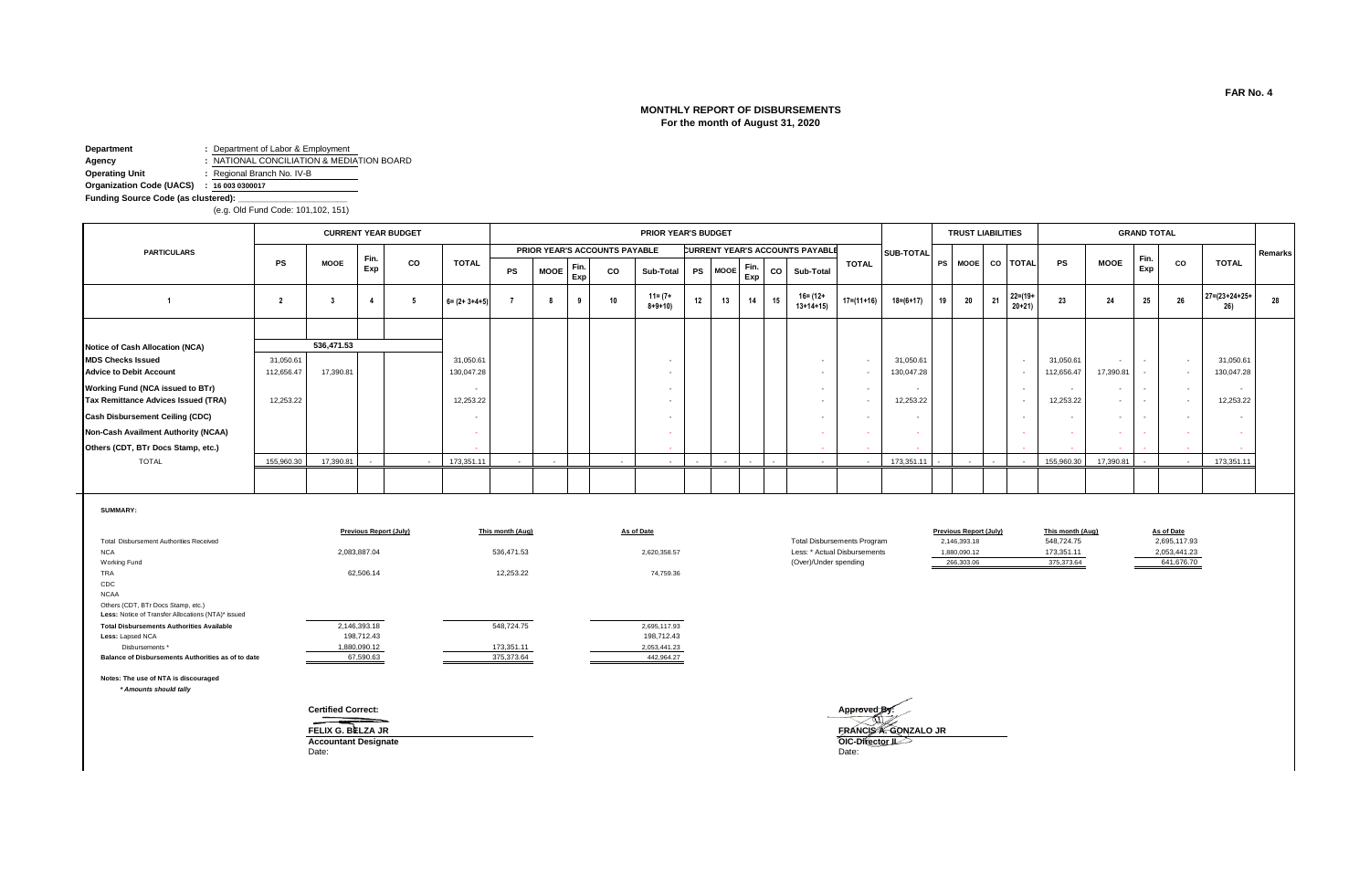# **MONTHLY REPORT OF DISBURSEMENTS For the month of August 31, 2020**

**Department :** Department of Labor & Employment **Agency :** NATIONAL CONCILIATION & MEDIATION BOARD **Operating Unit :** Regional Branch No. IV-B

**Organization Code (UACS) : 16 003 0300017**Funding Source Code (as clustered):

(e.g. Old Fund Code: 101,102, 151)

|                                        |            |             |        | <b>CURRENT YEAR BUDGET</b> |                          |           |             |             |                               | PRIOR YEAR'S BUDGET         |        |         |             |        |                                 |              |                          |    | <b>TRUST LIABILITIES</b> |        |                          |            |             | <b>GRAND TOTAL</b>       |        |                               |         |
|----------------------------------------|------------|-------------|--------|----------------------------|--------------------------|-----------|-------------|-------------|-------------------------------|-----------------------------|--------|---------|-------------|--------|---------------------------------|--------------|--------------------------|----|--------------------------|--------|--------------------------|------------|-------------|--------------------------|--------|-------------------------------|---------|
| <b>PARTICULARS</b>                     |            |             | Fin.   |                            |                          |           |             |             | PRIOR YEAR'S ACCOUNTS PAYABLE |                             |        |         |             |        | CURRENT YEAR'S ACCOUNTS PAYABLE |              | <b>SUB-TOTAL</b>         |    |                          |        |                          |            |             | Fin.                     |        |                               | Remarks |
|                                        | <b>PS</b>  | <b>MOOE</b> | Exp    | CO                         | <b>TOTAL</b>             | <b>PS</b> | <b>MOOE</b> | Fin.<br>Exp | CO                            | Sub-Total                   |        | PS MOOE | Fin.<br>Exp | co     | Sub-Total                       | <b>TOTAL</b> |                          |    | PS MOOE CO TOTAL         |        |                          | <b>PS</b>  | <b>MOOE</b> | Exp                      | co     | <b>TOTAL</b>                  |         |
|                                        |            |             |        | -5                         | $6 = (2 + 3 + 4 + 5)$    |           | 8           | 9           | 10                            | $11 = (7 +$<br>$8 + 9 + 10$ | 12     | 13      | 14          | 15     | 16= (12+<br>$13+14+15$          | $17=(11+16)$ | $18 = (6 + 17)$          | 19 | 20                       | 21     | $22 = (19 +$<br>$20+21$  | 23         | 24          | 25                       | 26     | $27 = (23 + 24 + 25 +$<br>26) | 28      |
|                                        |            |             |        |                            |                          |           |             |             |                               |                             |        |         |             |        |                                 |              |                          |    |                          |        |                          |            |             |                          |        |                               |         |
| Notice of Cash Allocation (NCA)        |            | 536,471.53  |        |                            |                          |           |             |             |                               |                             |        |         |             |        |                                 |              |                          |    |                          |        |                          |            |             |                          |        |                               |         |
| <b>MDS Checks Issued</b>               | 31,050.61  |             |        |                            | 31,050.61                |           |             |             |                               | $\overline{\phantom{a}}$    |        |         |             |        |                                 | $\sim$       | 31,050.61                |    |                          |        | $\overline{\phantom{a}}$ | 31,050.61  | $\sim$      | $\sim$                   | $\sim$ | 31,050.61                     |         |
| <b>Advice to Debit Account</b>         | 112,656.47 | 17,390.81   |        |                            | 130,047.28               |           |             |             |                               | $\sim$                      |        |         |             |        |                                 | $\sim$       | 130,047.28               |    |                          |        | $\overline{\phantom{a}}$ | 112,656.47 | 17,390.81   | $\sim$                   | $\sim$ | 130,047.28                    |         |
| Working Fund (NCA issued to BTr)       |            |             |        |                            | $\sim$                   |           |             |             |                               | $\sim$                      |        |         |             |        |                                 | $\sim$       |                          |    |                          |        | $\overline{\phantom{a}}$ |            | $\sim$      | $\overline{\phantom{a}}$ | $\sim$ | $\sim$                        |         |
| Tax Remittance Advices Issued (TRA)    | 12,253.22  |             |        |                            | 12,253.22                |           |             |             |                               | $\sim$                      |        |         |             |        |                                 | $\sim$       | 12,253.22                |    |                          |        | $\overline{\phantom{a}}$ | 12,253.22  | $\sim$      | $\overline{\phantom{a}}$ | $\sim$ | 12,253.22                     |         |
| <b>Cash Disbursement Ceiling (CDC)</b> |            |             |        |                            | $\overline{\phantom{a}}$ |           |             |             |                               | $\sim$                      |        |         |             |        |                                 | $\sim$       | $\overline{\phantom{a}}$ |    |                          |        | $\overline{\phantom{a}}$ |            | $\sim$      | $\overline{\phantom{a}}$ | $\sim$ | $\sim$                        |         |
| Non-Cash Availment Authority (NCAA)    |            |             |        |                            | $\sim$                   |           |             |             |                               | ×.                          |        |         |             |        |                                 | - 10         | $\sim$                   |    |                          |        | $\sim$                   |            |             |                          |        |                               |         |
| Others (CDT, BTr Docs Stamp, etc.)     |            |             |        |                            |                          |           |             |             |                               | <b>Section</b>              |        |         |             |        |                                 |              |                          |    |                          |        |                          |            |             |                          |        |                               |         |
| <b>TOTAL</b>                           | 155,960.30 | 17,390.81   | $\sim$ | $\sim$                     | 173,351.11               | $\sim$    | $\sim$      |             | $\sim$                        | $\sim$ $-$                  | $\sim$ | $\sim$  | $\sim$      | $\sim$ | $\sim$ $-$                      | $\sim$       | 173,351.11               |    | $\sim$                   | $\sim$ | $\sim$                   | 155,960.30 | 17,390.81   |                          | $\sim$ | 173,351.11                    |         |
|                                        |            |             |        |                            |                          |           |             |             |                               |                             |        |         |             |        |                                 |              |                          |    |                          |        |                          |            |             |                          |        |                               |         |

#### **SUMMARY:**

|                                                    | <b>Previous Report (July)</b> | This month (Aug) | As of Date   |                                    | <b>Previous Report (July)</b> | This month (Aug) | As of Date   |
|----------------------------------------------------|-------------------------------|------------------|--------------|------------------------------------|-------------------------------|------------------|--------------|
| <b>Total Disbursement Authorities Received</b>     |                               |                  |              | <b>Total Disbursements Program</b> | 2,146,393.18                  | 548,724.75       | 2,695,117.93 |
| <b>NCA</b>                                         | 2,083,887.04                  | 536,471.53       | 2,620,358.57 | Less: * Actual Disbursements       | 1,880,090.12                  | 173,351.11       | 2,053,441.23 |
| Working Fund                                       |                               |                  |              | (Over)/Under spending              | 266,303.06                    | 375,373.64       | 641,676.70   |
| TRA                                                | 62,506.14                     | 12,253.22        | 74,759.36    |                                    |                               |                  |              |
| CDC                                                |                               |                  |              |                                    |                               |                  |              |
| <b>NCAA</b>                                        |                               |                  |              |                                    |                               |                  |              |
| Others (CDT, BTr Docs Stamp, etc.)                 |                               |                  |              |                                    |                               |                  |              |
| Less: Notice of Transfer Allocations (NTA)* issued |                               |                  |              |                                    |                               |                  |              |
| <b>Total Disbursements Authorities Available</b>   | 2,146,393.18                  | 548,724.75       | 2,695,117.93 |                                    |                               |                  |              |
| Less: Lapsed NCA                                   | 198,712.43                    |                  | 198,712.43   |                                    |                               |                  |              |
| Disbursements *                                    | 1,880,090.12                  | 173,351.11       | 2,053,441.23 |                                    |                               |                  |              |
| Balance of Disbursements Authorities as of to date | 67,590.63                     | 375,373.64       | 442,964.27   |                                    |                               |                  |              |

**Notes: The use of NTA is discouraged**

 *\* Amounts should tally*

==



Previous Report (July) This month (Aug) As of Date<br>
2,146,393.18 548,724.75 2,695,117.93<br>
Less: \* Actual Disbursements 1,880,090.12 173,351.11 2,053,441.23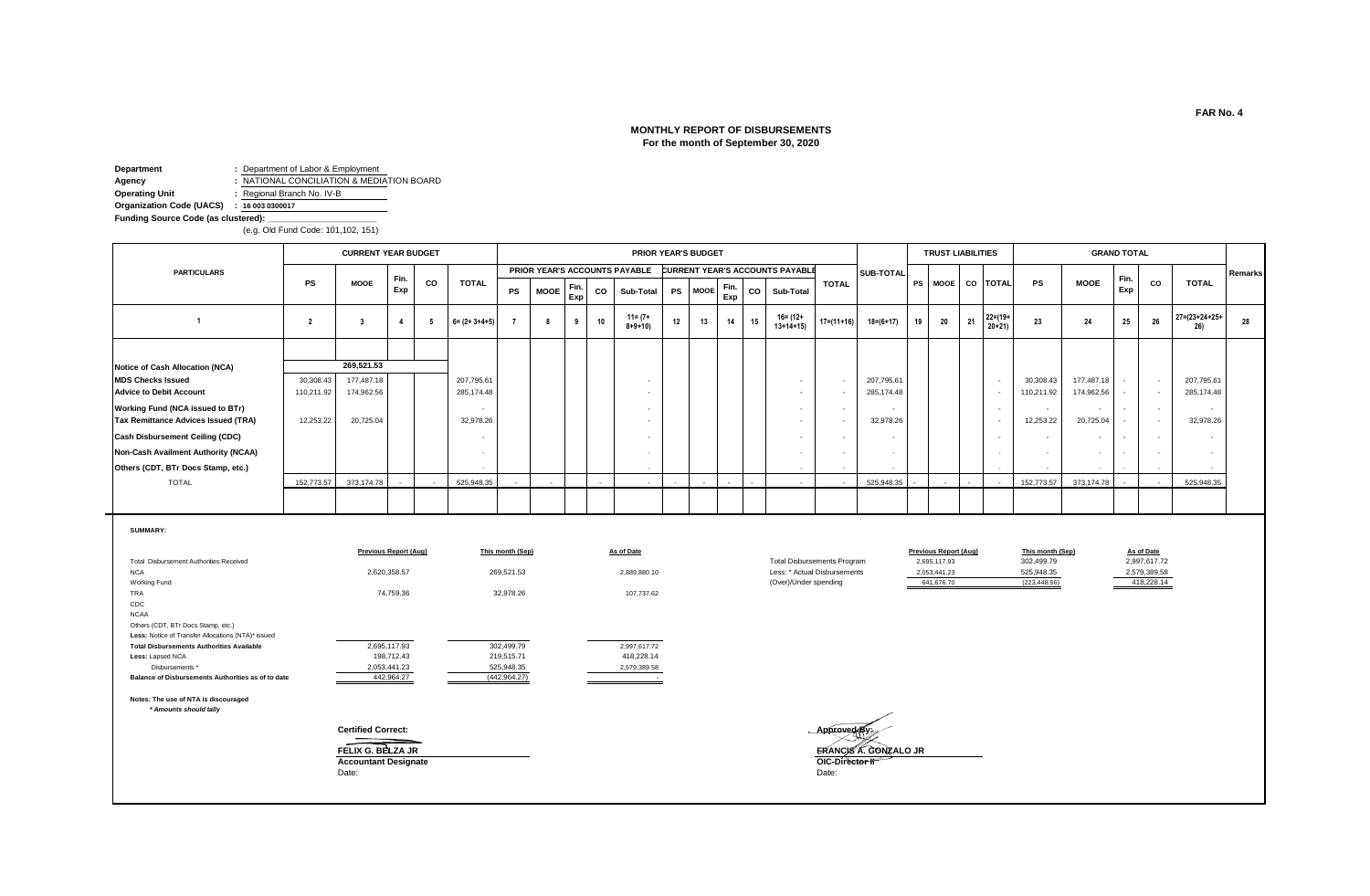# **MONTHLY REPORT OF DISBURSEMENTS For the month of September 30, 2020**

**Department :** Department of Labor & Employment **Agency :** NATIONAL CONCILIATION & MEDIATION BOARD<br> **Operating Unit :** Regional Branch No. IV-B **Operating Unit :** Regional Branch No. IV-B **Organization Code (UACS) : 16 003 0300017**Funding Source Code (as clustered):

(e.g. Old Fund Code: 101,102, 151)

|                                        |            | <b>CURRENT YEAR BUDGET</b> |             |     |                       |                          |                          |             |    | PRIOR YEAR'S BUDGET           |           |                          |             |    |                                        |                  |                  |    | <b>TRUST LIABILITIES</b> |        |                          |            |                          | <b>GRAND TOTAL</b> |        |                               |         |
|----------------------------------------|------------|----------------------------|-------------|-----|-----------------------|--------------------------|--------------------------|-------------|----|-------------------------------|-----------|--------------------------|-------------|----|----------------------------------------|------------------|------------------|----|--------------------------|--------|--------------------------|------------|--------------------------|--------------------|--------|-------------------------------|---------|
| <b>PARTICULARS</b>                     |            |                            |             |     |                       |                          |                          |             |    | PRIOR YEAR'S ACCOUNTS PAYABLE |           |                          |             |    | <b>CURRENT YEAR'S ACCOUNTS PAYABLE</b> |                  | <b>SUB-TOTAL</b> |    |                          |        |                          |            |                          |                    |        |                               | Remarks |
|                                        | <b>PS</b>  | <b>MOOE</b>                | Fin.<br>Exp | co  | <b>TOTAL</b>          | PS                       | <b>MOOE</b>              | Fin.<br>Exp | CO | Sub-Total                     | <b>PS</b> | <b>MOOE</b>              | Fin.<br>Exp | CO | Sub-Total                              | <b>TOTAL</b>     |                  |    |                          |        | PS MOOE CO TOTAL         | PS         | <b>MOOE</b>              | Fin.<br>Exp        | CO     | <b>TOTAL</b>                  |         |
|                                        |            |                            |             | - 5 | $6 = (2 + 3 + 4 + 5)$ |                          |                          | 9           | 10 | $11 = (7 +$<br>$8 + 9 + 10$   | 12        | 13                       | 14          | 15 | $16 = (12 +$<br>$13+14+15$             | $17 = (11 + 16)$ | $18 = (6 + 17)$  | 19 | 20                       | 21     | $22 = (19 +$<br>$20+21$  | 23         | 24                       | 25                 | 26     | $27 = (23 + 24 + 25 +$<br>26) | 28      |
|                                        |            |                            |             |     |                       |                          |                          |             |    |                               |           |                          |             |    |                                        |                  |                  |    |                          |        |                          |            |                          |                    |        |                               |         |
| Notice of Cash Allocation (NCA)        |            | 269,521.53                 |             |     |                       |                          |                          |             |    |                               |           |                          |             |    |                                        |                  |                  |    |                          |        |                          |            |                          |                    |        |                               |         |
| <b>MDS Checks Issued</b>               | 30,308.43  | 177,487.18                 |             |     | 207,795.61            |                          |                          |             |    |                               |           |                          |             |    |                                        |                  | 207,795.61       |    |                          |        | $\sim$                   | 30,308.43  | 177,487.18               | $\sim$             | $\sim$ | 207,795.61                    |         |
| <b>Advice to Debit Account</b>         | 110,211.92 | 174,962.56                 |             |     | 285,174.48            |                          |                          |             |    |                               |           |                          |             |    |                                        |                  | 285,174.48       |    |                          |        | . .                      | 110,211.92 | 174,962.56               |                    | . .    | 285,174.48                    |         |
| Working Fund (NCA issued to BTr)       |            |                            |             |     |                       |                          |                          |             |    |                               |           |                          |             |    |                                        | $\sim$           | $\sim$           |    |                          |        | $\sim$                   | $\sim$     | $\sim$                   | $\sim$             | $\sim$ | $\sim$                        |         |
| Tax Remittance Advices Issued (TRA)    | 12,253.22  | 20,725.04                  |             |     | 32,978.26             |                          |                          |             |    |                               |           |                          |             |    |                                        |                  | 32,978.26        |    |                          |        | . .                      | 12,253.22  | 20,725.04                |                    | $\sim$ | 32,978.26                     |         |
| <b>Cash Disbursement Ceiling (CDC)</b> |            |                            |             |     |                       |                          |                          |             |    |                               |           |                          |             |    |                                        |                  |                  |    |                          |        | $\overline{\phantom{a}}$ |            | $\overline{\phantom{a}}$ |                    |        | $\overline{\phantom{a}}$      |         |
| Non-Cash Availment Authority (NCAA)    |            |                            |             |     |                       |                          |                          |             |    |                               |           |                          |             |    |                                        |                  |                  |    |                          |        |                          |            | ٠                        | <b>Service</b>     |        | $\sim$                        |         |
| Others (CDT, BTr Docs Stamp, etc.)     |            |                            |             |     |                       |                          |                          |             |    |                               |           |                          |             |    |                                        |                  |                  |    |                          |        |                          |            | $\sim$                   |                    |        | <b><i><u>ALCO</u></i></b>     |         |
| <b>TOTAL</b>                           | 152,773.57 | 373,174.78                 | $\sim$      |     | 525,948.35            | $\overline{\phantom{a}}$ | $\overline{\phantom{a}}$ |             |    | $\sim$                        | $\sim$    | $\overline{\phantom{a}}$ |             |    | $\sim$                                 | $\sim$           | 525,948.35       |    |                          | $\sim$ | $\sim$                   | 152,773.57 | 373,174.78               | $\sim$             | $\sim$ | 525,948.35                    |         |
|                                        |            |                            |             |     |                       |                          |                          |             |    |                               |           |                          |             |    |                                        |                  |                  |    |                          |        |                          |            |                          |                    |        |                               |         |

| <b>SUMMARY:</b>                                                                                                    |                                                             |                  |              |                                              |                                              |                                |                            |
|--------------------------------------------------------------------------------------------------------------------|-------------------------------------------------------------|------------------|--------------|----------------------------------------------|----------------------------------------------|--------------------------------|----------------------------|
| Total Disbursement Authorities Received                                                                            | <b>Previous Report (Aug)</b>                                | This month (Sep) | As of Date   | <b>Total Disbursements Program</b>           | <b>Previous Report (Aug)</b><br>2,695,117.93 | This month (Sep)<br>302,499.79 | As of Date<br>2,997,617.72 |
|                                                                                                                    |                                                             |                  |              |                                              |                                              |                                |                            |
| <b>NCA</b>                                                                                                         | 2,620,358.57                                                | 269,521.53       | 2,889,880.10 | Less: * Actual Disbursements                 | 2,053,441.23                                 | 525,948.35                     | 2,579,389.58               |
| Working Fund                                                                                                       |                                                             |                  |              | (Over)/Under spending                        | 641,676.70                                   | (223, 448.56)                  | 418,228.14                 |
|                                                                                                                    |                                                             |                  | 107,737.62   |                                              |                                              |                                |                            |
| CDC                                                                                                                |                                                             |                  |              |                                              |                                              |                                |                            |
| <b>NCAA</b>                                                                                                        |                                                             |                  |              |                                              |                                              |                                |                            |
|                                                                                                                    |                                                             |                  |              |                                              |                                              |                                |                            |
| Less: Notice of Transfer Allocations (NTA)* issued                                                                 |                                                             |                  |              |                                              |                                              |                                |                            |
| <b>Total Disbursements Authorities Available</b>                                                                   | 2,695,117.93                                                | 302,499.79       | 2,997,617.72 |                                              |                                              |                                |                            |
| Less: Lapsed NCA                                                                                                   | 198,712.43                                                  | 219,515.71       | 418,228.14   |                                              |                                              |                                |                            |
| Disbursements *                                                                                                    | 2,053,441.23                                                | 525,948.35       | 2,579,389.58 |                                              |                                              |                                |                            |
| Balance of Disbursements Authorities as of to date                                                                 | 442,964.27                                                  | (442, 964.27)    |              |                                              |                                              |                                |                            |
|                                                                                                                    |                                                             |                  |              |                                              |                                              |                                |                            |
|                                                                                                                    |                                                             |                  |              |                                              |                                              |                                |                            |
|                                                                                                                    |                                                             |                  |              |                                              |                                              |                                |                            |
|                                                                                                                    |                                                             |                  |              |                                              |                                              |                                |                            |
|                                                                                                                    |                                                             |                  |              |                                              |                                              |                                |                            |
|                                                                                                                    |                                                             |                  |              |                                              |                                              |                                |                            |
| <b>TRA</b><br>Others (CDT, BTr Docs Stamp, etc.)<br>Notes: The use of NTA is discouraged<br>* Amounts should tally | 74,759.36<br><b>Certified Correct:</b><br>FELIX G. BELZA JR | 32,978.26        |              | Approved By.<br><b>ERANCIS A. GONZALO JR</b> |                                              |                                |                            |

**Accountant Designate OIC-Director II** Date: Date:

**Certified Correct: Approved By: FRANCIS A. GONZALO JR.**<br>OIC-Director II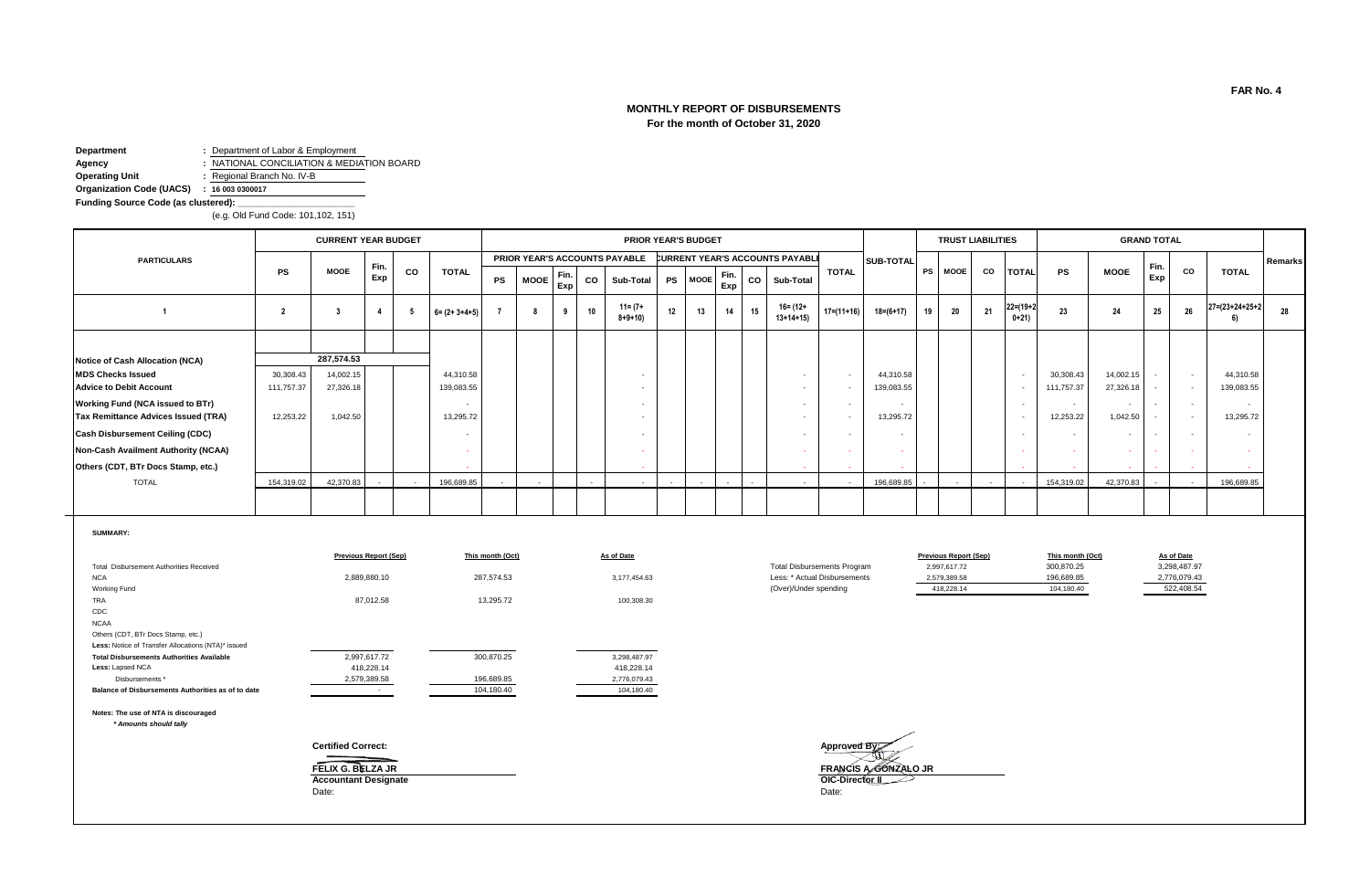# **MONTHLY REPORT OF DISBURSEMENTS For the month of October 31, 2020**

**Department :** Department of Labor & Employment **Agency :** NATIONAL CONCILIATION & MEDIATION BOARD

**Operating Unit :** Regional Branch No. IV-B

**Organization Code (UACS) : 16 003 0300017**

**Funding Source Code (as clustered): \_\_\_\_\_\_\_\_\_\_\_\_\_\_\_\_\_\_\_\_\_\_\_**

(e.g. Old Fund Code: 101,102, 151)

|                                            |            | <b>CURRENT YEAR BUDGET</b> |             |    |                       |    |                          |             |    | PRIOR YEAR'S BUDGET           |    |         |             |    |                                 |                  |                 |    | <b>TRUST LIABILITIES</b> |     |                           |                          |                | <b>GRAND TOTAL</b> |        |                           |         |
|--------------------------------------------|------------|----------------------------|-------------|----|-----------------------|----|--------------------------|-------------|----|-------------------------------|----|---------|-------------|----|---------------------------------|------------------|-----------------|----|--------------------------|-----|---------------------------|--------------------------|----------------|--------------------|--------|---------------------------|---------|
| <b>PARTICULARS</b>                         |            |                            |             |    |                       |    |                          |             |    | PRIOR YEAR'S ACCOUNTS PAYABLE |    |         |             |    | CURRENT YEAR'S ACCOUNTS PAYABLI |                  | SUB-TOTAL       |    |                          |     |                           |                          |                |                    |        |                           | Remarks |
|                                            | <b>PS</b>  | <b>MOOE</b>                | Fin.<br>Exp | CO | TOTAL                 | PS | <b>MOOE</b>              | Fin.<br>Exp | CO | Sub-Total                     |    | PS MOOE | Fin.<br>Exp | CO | Sub-Total                       | <b>TOTAL</b>     |                 |    | PS MOOE                  | CO  | <b>TOTAL</b>              | PS                       | <b>MOOE</b>    | Fin<br>Exp         | CO     | <b>TOTAL</b>              |         |
|                                            |            |                            |             |    | $6 = (2 + 3 + 4 + 5)$ |    |                          | 9           | 10 | $11 = (7 +$<br>$8 + 9 + 10$   | 12 | 13      | 14          | 15 | $16 = (12 +$<br>$13+14+15$      | $17 = (11 + 16)$ | $18 = (6 + 17)$ | 19 | 20                       | -21 | $22 = (19 + 2)$<br>$0+21$ | 23                       | 24             | 25                 | 26     | $27 = (23 + 24 + 25 + 2)$ | 28      |
|                                            |            |                            |             |    |                       |    |                          |             |    |                               |    |         |             |    |                                 |                  |                 |    |                          |     |                           |                          |                |                    |        |                           |         |
| Notice of Cash Allocation (NCA)            |            | 287,574.53                 |             |    |                       |    |                          |             |    |                               |    |         |             |    |                                 |                  |                 |    |                          |     |                           |                          |                |                    |        |                           |         |
| <b>MDS Checks Issued</b>                   | 30,308.43  | 14,002.15                  |             |    | 44,310.58             |    |                          |             |    |                               |    |         |             |    |                                 |                  | 44,310.58       |    |                          |     | . .                       | 30,308.43                | 14,002.15      | $\sim$             | $\sim$ | 44,310.58                 |         |
| <b>Advice to Debit Account</b>             | 111,757.37 | 27,326.18                  |             |    | 139,083.55            |    |                          |             |    |                               |    |         |             |    | . .                             |                  | 139,083.55      |    |                          |     |                           | 111,757.37               | 27,326.18      |                    | $\sim$ | 139,083.55                |         |
| <b>Working Fund (NCA issued to BTr)</b>    |            |                            |             |    |                       |    |                          |             |    |                               |    |         |             |    | $\sim$                          |                  | <b>.</b>        |    |                          |     |                           | $\overline{\phantom{a}}$ | $\sim$         | $\sim$             | $\sim$ | $\sim$                    |         |
| <b>Tax Remittance Advices Issued (TRA)</b> | 12,253.22  | 1,042.50                   |             |    | 13,295.72             |    |                          |             |    |                               |    |         |             |    | . .                             |                  | 13,295.72       |    |                          |     |                           | 12,253.22                | 1,042.50       |                    | $\sim$ | 13,295.72                 |         |
| <b>Cash Disbursement Ceiling (CDC)</b>     |            |                            |             |    |                       |    |                          |             |    |                               |    |         |             |    | - 1                             |                  | <b>.</b>        |    |                          |     |                           |                          | $\sim$         |                    | $\sim$ |                           |         |
| <b>Non-Cash Availment Authority (NCAA)</b> |            |                            |             |    |                       |    |                          |             |    |                               |    |         |             |    |                                 |                  | <b>.</b>        |    |                          |     |                           | $\sim$                   | <b>COLLEGE</b> |                    |        |                           |         |
| Others (CDT, BTr Docs Stamp, etc.)         |            |                            |             |    |                       |    |                          |             |    |                               |    |         |             |    |                                 |                  |                 |    |                          |     |                           |                          | .              |                    | . .    |                           |         |
| <b>TOTAL</b>                               | 154,319.02 | 42,370.83                  |             |    | 196,689.85            |    | $\overline{\phantom{a}}$ |             |    | $\sim$                        |    |         |             |    | $\sim$                          |                  | 196,689.85      |    |                          |     |                           | 154,319.02               | 42,370.83      |                    | $\sim$ | 196,689.85                |         |
|                                            |            |                            |             |    |                       |    |                          |             |    |                               |    |         |             |    |                                 |                  |                 |    |                          |     |                           |                          |                |                    |        |                           |         |

**SUMMARY:**

|                                                                                          | <b>Previous Report (Sep)</b>                              | This month (Oct) | As of Date   |                                                  | <b>Previous Report (Sep)</b> | This month (Oct) | As of Date   |
|------------------------------------------------------------------------------------------|-----------------------------------------------------------|------------------|--------------|--------------------------------------------------|------------------------------|------------------|--------------|
| Total Disbursement Authorities Received                                                  |                                                           |                  |              | <b>Total Disbursements Program</b>               | 2,997,617.72                 | 300,870.25       | 3,298,487.97 |
| <b>NCA</b>                                                                               | 2,889,880.10                                              | 287,574.53       | 3,177,454.63 | Less: * Actual Disbursements                     | 2,579,389.58                 | 196,689.85       | 2,776,079.43 |
| Working Fund                                                                             |                                                           |                  |              | (Over)/Under spending                            | 418,228.14                   | 104,180.40       | 522,408.54   |
| TRA                                                                                      | 87,012.58                                                 | 13,295.72        | 100,308.30   |                                                  |                              |                  |              |
| CDC                                                                                      |                                                           |                  |              |                                                  |                              |                  |              |
| <b>NCAA</b>                                                                              |                                                           |                  |              |                                                  |                              |                  |              |
| Others (CDT, BTr Docs Stamp, etc.)<br>Less: Notice of Transfer Allocations (NTA)* issued |                                                           |                  |              |                                                  |                              |                  |              |
| <b>Total Disbursements Authorities Available</b>                                         | 2,997,617.72                                              | 300,870.25       | 3,298,487.97 |                                                  |                              |                  |              |
| Less: Lapsed NCA                                                                         | 418,228.14                                                |                  | 418,228.14   |                                                  |                              |                  |              |
| Disbursements *                                                                          | 2,579,389.58                                              | 196,689.85       | 2,776,079.43 |                                                  |                              |                  |              |
| Balance of Disbursements Authorities as of to date                                       |                                                           | 104,180.40       | 104,180.40   |                                                  |                              |                  |              |
| Notes: The use of NTA is discouraged<br>* Amounts should tally                           |                                                           |                  |              |                                                  |                              |                  |              |
|                                                                                          | <b>Certified Correct:</b>                                 |                  |              | Approved By:                                     |                              |                  |              |
|                                                                                          | FELIX G. BELZA JR<br><b>Accountant Designate</b><br>Date: |                  |              | FRANCIS A GONZALO JR<br>OIC-Director II<br>Date: |                              |                  |              |

**FAR No. 4**

As of Date<br>3,298,487.97<br>2,776,079.43

f322,408.54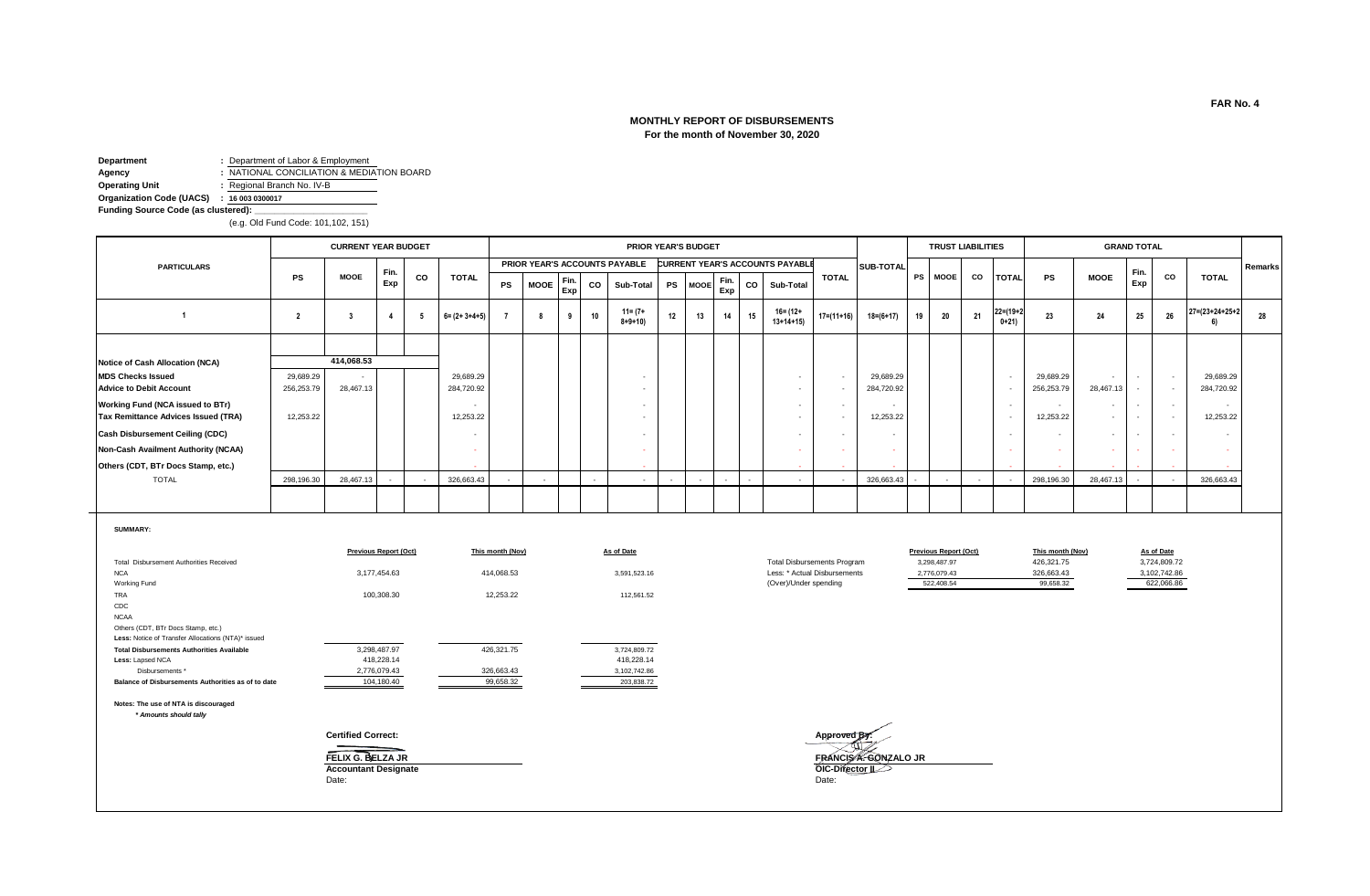# **MONTHLY REPORT OF DISBURSEMENTS For the month of November 30, 2020**

**Department :** Department of Labor & Employment<br> **Agency :** NATIONAL CONCILIATION & MEDIA<br> **Operating Unit :** Regional Branch No. IV-B

**Agency :** NATIONAL CONCILIATION & MEDIATION BOARD

**Operating Unit :** Regional Branch No. IV-B

**Organization Code (UACS) : 16 003 0300017**

Funding Source Code (as clustered):

(e.g. Old Fund Code: 101,102, 151)

|                                                                                                         |                         | <b>CURRENT YEAR BUDGET</b>                       |                              |    |                          |                         |                          |             |    |                               |    | PRIOR YEAR'S BUDGET |             |    |                                            |                                                      |                          |    |                                              | <b>TRUST LIABILITIES</b> |                       |                                |                                                      | <b>GRAND TOTAL</b>       |                            |                                        |         |
|---------------------------------------------------------------------------------------------------------|-------------------------|--------------------------------------------------|------------------------------|----|--------------------------|-------------------------|--------------------------|-------------|----|-------------------------------|----|---------------------|-------------|----|--------------------------------------------|------------------------------------------------------|--------------------------|----|----------------------------------------------|--------------------------|-----------------------|--------------------------------|------------------------------------------------------|--------------------------|----------------------------|----------------------------------------|---------|
| <b>PARTICULARS</b>                                                                                      |                         |                                                  | Fin.                         |    |                          |                         |                          |             |    | PRIOR YEAR'S ACCOUNTS PAYABLE |    |                     |             |    | <b>CURRENT YEAR'S ACCOUNTS PAYABLE</b>     |                                                      | SUB-TOTAL                |    |                                              |                          |                       |                                |                                                      | Fin.                     |                            |                                        | Remarks |
|                                                                                                         | <b>PS</b>               | <b>MOOE</b>                                      | Exp                          | CO | <b>TOTAL</b>             | PS                      | <b>MOOE</b>              | Fin.<br>Exp | CO | Sub-Total                     | PS | <b>MOOE</b>         | Fin.<br>Exp | CO | Sub-Total                                  | <b>TOTAL</b>                                         |                          |    | PS   MOOE                                    | CO                       | <b>TOTAL</b>          | <b>PS</b>                      | <b>MOOE</b>                                          | Exp                      | CO                         | <b>TOTAL</b>                           |         |
| $\overline{1}$                                                                                          | $\overline{2}$          | $\overline{\mathbf{3}}$                          | $\overline{4}$               | 5  | $6 = (2 + 3 + 4 + 5)$    | $\overline{7}$          | -8                       | 9           | 10 | $11 = (7 +$<br>$8 + 9 + 10$   | 12 | 13                  | 14          | 15 | $16 = (12 +$<br>$13+14+15$                 | $17=(11+16)$                                         | $18 = (6 + 17)$          | 19 | 20                                           | 21                       | $22=(19+2)$<br>$0+21$ | 23                             | 24                                                   | 25                       | 26                         | $27 = (23 + 24 + 25 + 2)$<br><b>61</b> | 28      |
|                                                                                                         |                         |                                                  |                              |    |                          |                         |                          |             |    |                               |    |                     |             |    |                                            |                                                      |                          |    |                                              |                          |                       |                                |                                                      |                          |                            |                                        |         |
| Notice of Cash Allocation (NCA)                                                                         |                         | 414,068.53                                       |                              |    |                          |                         |                          |             |    |                               |    |                     |             |    |                                            |                                                      |                          |    |                                              |                          |                       |                                |                                                      |                          |                            |                                        |         |
| <b>MDS Checks Issued</b><br><b>Advice to Debit Account</b>                                              | 29,689.29<br>256,253.79 | 28,467.13                                        |                              |    | 29,689.29<br>284,720.92  |                         |                          |             |    | $\sim$                        |    |                     |             |    | $\overline{\phantom{a}}$<br>$\sim$         | $\overline{\phantom{a}}$<br>$\sim$                   | 29,689.29<br>284,720.92  |    |                                              |                          |                       | 29,689.29<br>256,253.79        | $\overline{\phantom{a}}$<br>28,467.13                | $\sim$                   | $\sim$<br>$\sim$           | 29,689.29<br>284,720.92                |         |
| Working Fund (NCA issued to BTr)<br>Tax Remittance Advices Issued (TRA)                                 | 12,253.22               |                                                  |                              |    | 12,253.22                |                         |                          |             |    |                               |    |                     |             |    | $\overline{a}$<br>$\overline{\phantom{a}}$ | $\overline{\phantom{a}}$<br>$\overline{\phantom{a}}$ | 12,253.22                |    |                                              |                          |                       | 12,253.22                      | $\overline{\phantom{a}}$<br>$\overline{\phantom{a}}$ | $\overline{a}$<br>$\sim$ | $\sim$<br>$\sim$           | 12.253.22                              |         |
| <b>Cash Disbursement Ceiling (CDC)</b>                                                                  |                         |                                                  |                              |    | $\overline{\phantom{a}}$ |                         |                          |             |    |                               |    |                     |             |    | $\sim$                                     | $\overline{\phantom{a}}$                             | $\overline{\phantom{a}}$ |    |                                              |                          |                       |                                | $\sim$                                               |                          | $\sim$                     |                                        |         |
| Non-Cash Availment Authority (NCAA)                                                                     |                         |                                                  |                              |    | $\sim$                   |                         |                          |             |    |                               |    |                     |             |    |                                            |                                                      |                          |    |                                              |                          |                       |                                |                                                      |                          |                            |                                        |         |
| Others (CDT, BTr Docs Stamp, etc.)                                                                      |                         |                                                  |                              |    |                          |                         |                          |             |    |                               |    |                     |             |    |                                            |                                                      |                          |    |                                              |                          |                       |                                |                                                      |                          |                            |                                        |         |
| <b>TOTAL</b>                                                                                            | 298,196.30              | 28,467.13                                        |                              |    | 326,663.43               | $\sim$                  | $\overline{\phantom{a}}$ |             |    | ۰.                            |    |                     |             |    | $\overline{\phantom{a}}$                   | $\overline{a}$                                       | 326,663.43               |    | $\overline{\phantom{a}}$                     | $\overline{\phantom{a}}$ |                       | 298,196.30                     | 28,467.13                                            |                          |                            | 326,663.43                             |         |
|                                                                                                         |                         |                                                  |                              |    |                          |                         |                          |             |    |                               |    |                     |             |    |                                            |                                                      |                          |    |                                              |                          |                       |                                |                                                      |                          |                            |                                        |         |
| <b>SUMMARY:</b>                                                                                         |                         |                                                  |                              |    |                          |                         |                          |             |    |                               |    |                     |             |    |                                            |                                                      |                          |    |                                              |                          |                       |                                |                                                      |                          |                            |                                        |         |
| Total Disbursement Authorities Received                                                                 |                         |                                                  | <b>Previous Report (Oct)</b> |    |                          | This month (Nov)        |                          |             |    | As of Date                    |    |                     |             |    | <b>Total Disbursements Program</b>         |                                                      |                          |    | <b>Previous Report (Oct)</b><br>3,298,487.97 |                          |                       | This month (Nov)<br>426,321.75 |                                                      |                          | As of Date<br>3,724,809.72 |                                        |         |
| <b>NCA</b>                                                                                              |                         |                                                  | 3,177,454.63                 |    |                          | 414,068.53              |                          |             |    | 3,591,523.16                  |    |                     |             |    | Less: * Actual Disbursements               |                                                      |                          |    | 2,776,079.43                                 |                          |                       | 326,663.43                     |                                                      |                          | 3,102,742.86               |                                        |         |
| Working Fund<br>TRA                                                                                     |                         |                                                  | 100,308.30                   |    |                          | 12,253.22               |                          |             |    | 112,561.52                    |    |                     |             |    | (Over)/Under spending                      |                                                      |                          |    | 522.408.54                                   |                          |                       | 99,658.32                      |                                                      |                          | 622,066.86                 |                                        |         |
| CDC                                                                                                     |                         |                                                  |                              |    |                          |                         |                          |             |    |                               |    |                     |             |    |                                            |                                                      |                          |    |                                              |                          |                       |                                |                                                      |                          |                            |                                        |         |
| <b>NCAA</b><br>Others (CDT, BTr Docs Stamp, etc.)<br>Less: Notice of Transfer Allocations (NTA)* issued |                         |                                                  |                              |    |                          |                         |                          |             |    |                               |    |                     |             |    |                                            |                                                      |                          |    |                                              |                          |                       |                                |                                                      |                          |                            |                                        |         |
| <b>Total Disbursements Authorities Available</b>                                                        |                         |                                                  | 3,298,487.97                 |    |                          | 426,321.75              |                          |             |    | 3,724,809.72                  |    |                     |             |    |                                            |                                                      |                          |    |                                              |                          |                       |                                |                                                      |                          |                            |                                        |         |
| Less: Lapsed NCA                                                                                        |                         |                                                  | 418,228.14                   |    |                          |                         |                          |             |    | 418,228.14                    |    |                     |             |    |                                            |                                                      |                          |    |                                              |                          |                       |                                |                                                      |                          |                            |                                        |         |
| Disbursements *<br>Balance of Disbursements Authorities as of to date                                   |                         |                                                  | 2,776,079.43<br>104,180.40   |    |                          | 326,663.43<br>99,658.32 |                          |             |    | 3,102,742.86<br>203,838.72    |    |                     |             |    |                                            |                                                      |                          |    |                                              |                          |                       |                                |                                                      |                          |                            |                                        |         |
| Notes: The use of NTA is discouraged<br>* Amounts should tally                                          |                         |                                                  |                              |    |                          |                         |                          |             |    |                               |    |                     |             |    |                                            |                                                      |                          |    |                                              |                          |                       |                                |                                                      |                          |                            |                                        |         |
|                                                                                                         |                         | <b>Certified Correct:</b>                        |                              |    |                          |                         |                          |             |    |                               |    |                     |             |    |                                            | Approved BV                                          |                          |    |                                              |                          |                       |                                |                                                      |                          |                            |                                        |         |
|                                                                                                         |                         | FELIX G. BELZA JR<br><b>Accountant Designate</b> |                              |    |                          |                         |                          |             |    |                               |    |                     |             |    |                                            | OIC-Difector II                                      | FRANCISA. GONZALO JR     |    |                                              |                          |                       |                                |                                                      |                          |                            |                                        |         |
|                                                                                                         |                         | Date:                                            |                              |    |                          |                         |                          |             |    |                               |    |                     |             |    |                                            | Date:                                                |                          |    |                                              |                          |                       |                                |                                                      |                          |                            |                                        |         |